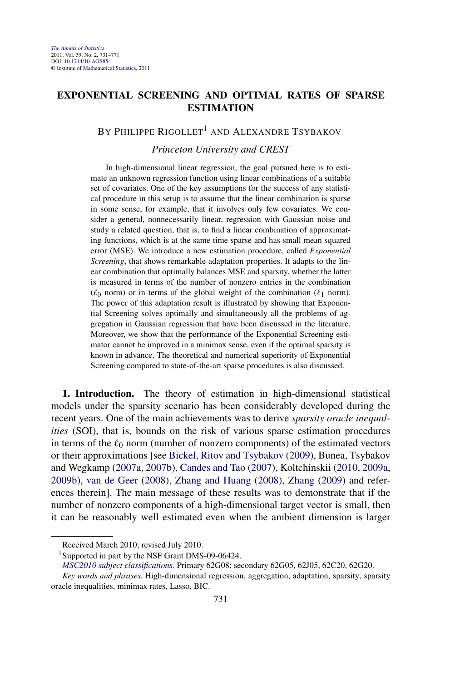# **EXPONENTIAL SCREENING AND OPTIMAL RATES OF SPARSE ESTIMATION**

# BY PHILIPPE RIGOLLET<sup>1</sup> AND ALEXANDRE TSYBAKOV

### *Princeton University and CREST*

In high-dimensional linear regression, the goal pursued here is to estimate an unknown regression function using linear combinations of a suitable set of covariates. One of the key assumptions for the success of any statistical procedure in this setup is to assume that the linear combination is sparse in some sense, for example, that it involves only few covariates. We consider a general, nonnecessarily linear, regression with Gaussian noise and study a related question, that is, to find a linear combination of approximating functions, which is at the same time sparse and has small mean squared error (MSE). We introduce a new estimation procedure, called *Exponential Screening*, that shows remarkable adaptation properties. It adapts to the linear combination that optimally balances MSE and sparsity, whether the latter is measured in terms of the number of nonzero entries in the combination  $(\ell_0$  norm) or in terms of the global weight of the combination  $(\ell_1$  norm). The power of this adaptation result is illustrated by showing that Exponential Screening solves optimally and simultaneously all the problems of aggregation in Gaussian regression that have been discussed in the literature. Moreover, we show that the performance of the Exponential Screening estimator cannot be improved in a minimax sense, even if the optimal sparsity is known in advance. The theoretical and numerical superiority of Exponential Screening compared to state-of-the-art sparse procedures is also discussed.

**1. Introduction.** The theory of estimation in high-dimensional statistical models under the sparsity scenario has been considerably developed during the recent years. One of the main achievements was to derive *sparsity oracle inequalities* (SOI), that is, bounds on the risk of various sparse estimation procedures in terms of the  $\ell_0$  norm (number of nonzero components) of the estimated vectors or their approximations [see [Bickel, Ritov and Tsybakov](#page-38-0) [\(2009\)](#page-38-0), Bunea, Tsybakov and Wegkamp [\(2007a,](#page-38-0) [2007b\)](#page-38-0), [Candes and Tao](#page-38-0) [\(2007\)](#page-38-0), Koltchinskii [\(2010,](#page-39-0) [2009a,](#page-39-0) [2009b\)](#page-39-0), [van de Geer](#page-39-0) [\(2008\)](#page-39-0), [Zhang and Huang](#page-40-0) [\(2008\)](#page-40-0), [Zhang](#page-40-0) [\(2009\)](#page-40-0) and references therein]. The main message of these results was to demonstrate that if the number of nonzero components of a high-dimensional target vector is small, then it can be reasonably well estimated even when the ambient dimension is larger

Received March 2010; revised July 2010.

<sup>&</sup>lt;sup>1</sup>Supported in part by the NSF Grant DMS-09-06424.

*[MSC2010 subject classifications.](http://www.ams.org/mathscinet/msc/msc2010.html)* Primary 62G08; secondary 62G05, 62J05, 62C20, 62G20.

*Key words and phrases.* High-dimensional regression, aggregation, adaptation, sparsity, sparsity oracle inequalities, minimax rates, Lasso, BIC.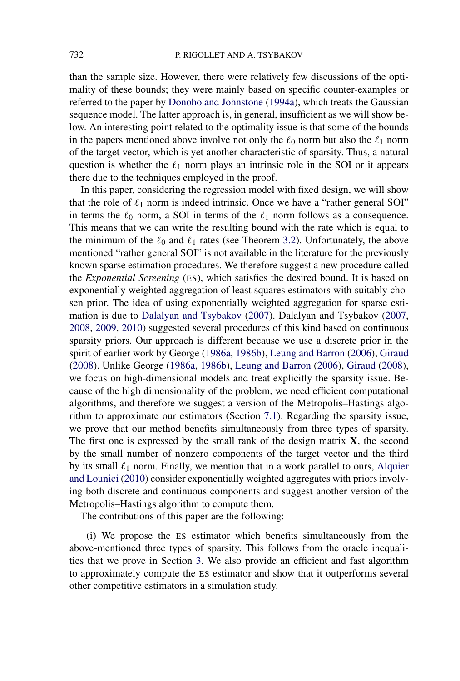than the sample size. However, there were relatively few discussions of the optimality of these bounds; they were mainly based on specific counter-examples or referred to the paper by [Donoho and Johnstone](#page-38-0) [\(1994a\)](#page-38-0), which treats the Gaussian sequence model. The latter approach is, in general, insufficient as we will show below. An interesting point related to the optimality issue is that some of the bounds in the papers mentioned above involve not only the  $\ell_0$  norm but also the  $\ell_1$  norm of the target vector, which is yet another characteristic of sparsity. Thus, a natural question is whether the  $\ell_1$  norm plays an intrinsic role in the SOI or it appears there due to the techniques employed in the proof.

In this paper, considering the regression model with fixed design, we will show that the role of  $\ell_1$  norm is indeed intrinsic. Once we have a "rather general SOI" in terms the  $\ell_0$  norm, a SOI in terms of the  $\ell_1$  norm follows as a consequence. This means that we can write the resulting bound with the rate which is equal to the minimum of the  $\ell_0$  and  $\ell_1$  rates (see Theorem [3.2\)](#page-6-0). Unfortunately, the above mentioned "rather general SOI" is not available in the literature for the previously known sparse estimation procedures. We therefore suggest a new procedure called the *Exponential Screening* (ES), which satisfies the desired bound. It is based on exponentially weighted aggregation of least squares estimators with suitably chosen prior. The idea of using exponentially weighted aggregation for sparse estimation is due to [Dalalyan and Tsybakov](#page-38-0) [\(2007\)](#page-38-0). Dalalyan and Tsybakov [\(2007,](#page-38-0) [2008,](#page-38-0) [2009,](#page-38-0) [2010\)](#page-38-0) suggested several procedures of this kind based on continuous sparsity priors. Our approach is different because we use a discrete prior in the spirit of earlier work by George [\(1986a,](#page-39-0) [1986b\)](#page-39-0), [Leung and Barron](#page-39-0) [\(2006\)](#page-39-0), [Giraud](#page-39-0) [\(2008\)](#page-39-0). Unlike George [\(1986a,](#page-39-0) [1986b\)](#page-39-0), [Leung and Barron](#page-39-0) [\(2006\)](#page-39-0), [Giraud](#page-39-0) [\(2008\)](#page-39-0), we focus on high-dimensional models and treat explicitly the sparsity issue. Because of the high dimensionality of the problem, we need efficient computational algorithms, and therefore we suggest a version of the Metropolis–Hastings algorithm to approximate our estimators (Section [7.1\)](#page-21-0). Regarding the sparsity issue, we prove that our method benefits simultaneously from three types of sparsity. The first one is expressed by the small rank of the design matrix **X**, the second by the small number of nonzero components of the target vector and the third by its small  $\ell_1$  norm. Finally, we mention that in a work parallel to ours, [Alquier](#page-38-0) [and Lounici](#page-38-0) [\(2010\)](#page-38-0) consider exponentially weighted aggregates with priors involving both discrete and continuous components and suggest another version of the Metropolis–Hastings algorithm to compute them.

The contributions of this paper are the following:

(i) We propose the ES estimator which benefits simultaneously from the above-mentioned three types of sparsity. This follows from the oracle inequalities that we prove in Section [3.](#page-3-0) We also provide an efficient and fast algorithm to approximately compute the ES estimator and show that it outperforms several other competitive estimators in a simulation study.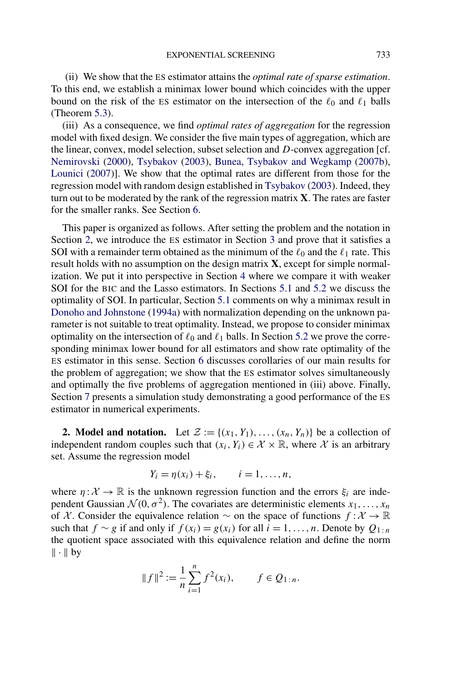<span id="page-2-0"></span>(ii) We show that the ES estimator attains the *optimal rate of sparse estimation*. To this end, we establish a minimax lower bound which coincides with the upper bound on the risk of the ES estimator on the intersection of the  $\ell_0$  and  $\ell_1$  balls (Theorem [5.3\)](#page-14-0).

(iii) As a consequence, we find *optimal rates of aggregation* for the regression model with fixed design. We consider the five main types of aggregation, which are the linear, convex, model selection, subset selection and *D*-convex aggregation [cf. [Nemirovski](#page-39-0) [\(2000\)](#page-39-0), [Tsybakov](#page-39-0) [\(2003\)](#page-39-0), [Bunea, Tsybakov and Wegkamp](#page-38-0) [\(2007b\)](#page-38-0), [Lounici](#page-39-0) [\(2007\)](#page-39-0)]. We show that the optimal rates are different from those for the regression model with random design established in [Tsybakov](#page-39-0) [\(2003\)](#page-39-0). Indeed, they turn out to be moderated by the rank of the regression matrix **X**. The rates are faster for the smaller ranks. See Section [6.](#page-18-0)

This paper is organized as follows. After setting the problem and the notation in Section 2, we introduce the ES estimator in Section [3](#page-3-0) and prove that it satisfies a SOI with a remainder term obtained as the minimum of the  $\ell_0$  and the  $\ell_1$  rate. This result holds with no assumption on the design matrix **X**, except for simple normalization. We put it into perspective in Section [4](#page-7-0) where we compare it with weaker SOI for the BIC and the Lasso estimators. In Sections [5.1](#page-9-0) and [5.2](#page-13-0) we discuss the optimality of SOI. In particular, Section [5.1](#page-9-0) comments on why a minimax result in [Donoho and Johnstone](#page-38-0) [\(1994a\)](#page-38-0) with normalization depending on the unknown parameter is not suitable to treat optimality. Instead, we propose to consider minimax optimality on the intersection of  $\ell_0$  and  $\ell_1$  balls. In Section [5.2](#page-13-0) we prove the corresponding minimax lower bound for all estimators and show rate optimality of the ES estimator in this sense. Section [6](#page-18-0) discusses corollaries of our main results for the problem of aggregation; we show that the ES estimator solves simultaneously and optimally the five problems of aggregation mentioned in (iii) above. Finally, Section [7](#page-21-0) presents a simulation study demonstrating a good performance of the ES estimator in numerical experiments.

**2. Model and notation.** Let  $\mathcal{Z} := \{(x_1, Y_1), \ldots, (x_n, Y_n)\}\)$  be a collection of independent random couples such that  $(x_i, Y_i) \in \mathcal{X} \times \mathbb{R}$ , where  $\mathcal{X}$  is an arbitrary set. Assume the regression model

$$
Y_i = \eta(x_i) + \xi_i, \qquad i = 1, \ldots, n,
$$

where  $\eta: \mathcal{X} \to \mathbb{R}$  is the unknown regression function and the errors  $\xi_i$  are independent Gaussian  $\mathcal{N}(0, \sigma^2)$ . The covariates are deterministic elements  $x_1, \ldots, x_n$ of X. Consider the equivalence relation  $\sim$  on the space of functions  $f : \mathcal{X} \to \mathbb{R}$ such that *f* ∼ *g* if and only if  $f(x_i) = g(x_i)$  for all  $i = 1, ..., n$ . Denote by  $Q_{1:n}$ the quotient space associated with this equivalence relation and define the norm  $\|\cdot\|$  by

$$
||f||^2 := \frac{1}{n} \sum_{i=1}^n f^2(x_i), \qquad f \in Q_{1:n}.
$$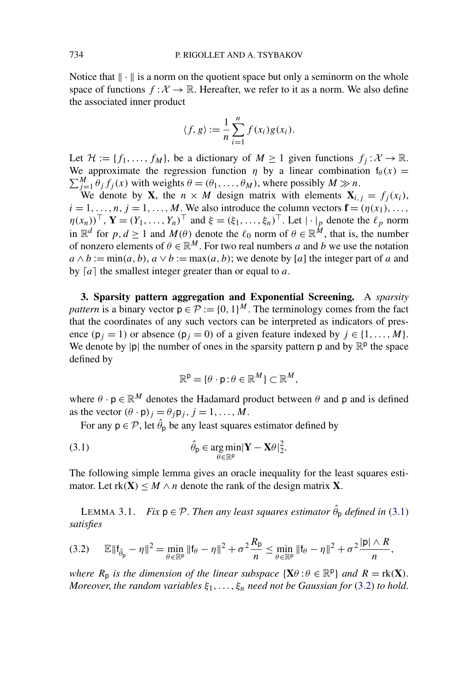<span id="page-3-0"></span>Notice that  $\|\cdot\|$  is a norm on the quotient space but only a seminorm on the whole space of functions  $f: \mathcal{X} \to \mathbb{R}$ . Hereafter, we refer to it as a norm. We also define the associated inner product

$$
\langle f, g \rangle := \frac{1}{n} \sum_{i=1}^{n} f(x_i) g(x_i).
$$

Let  $\mathcal{H} := \{f_1, \ldots, f_M\}$ , be a dictionary of  $M \geq 1$  given functions  $f_j : \mathcal{X} \to \mathbb{R}$ . We approximate the regression function  $\eta$  by a linear combination  $f_\theta(x)$  =  $\sum_{j=1}^{M} \theta_j f_j(x)$  with weights  $\theta = (\theta_1, \dots, \theta_M)$ , where possibly  $M \gg n$ .

We denote by **X**, the  $n \times M$  design matrix with elements  $\mathbf{X}_{i,j} = f_j(x_i)$ ,  $i = 1, \ldots, n, j = 1, \ldots, M$ . We also introduce the column vectors  $\mathbf{f} = (\eta(x_1), \ldots, \eta(x_n))$  $\eta(x_n)$ <sup>T</sup>, **Y** =  $(Y_1, ..., Y_n)$ <sup>T</sup> and  $\xi = (\xi_1, ..., \xi_n)$ <sup>T</sup>. Let  $| \cdot |_p$  denote the  $\ell_p$  norm in  $\mathbb{R}^d$  for  $p, d \ge 1$  and  $M(\theta)$  denote the  $\ell_0$  norm of  $\theta \in \mathbb{R}^M$ , that is, the number of nonzero elements of  $\theta \in \mathbb{R}^M$ . For two real numbers *a* and *b* we use the notation  $a \wedge b := \min(a, b), a \vee b := \max(a, b)$ ; we denote by [*a*] the integer part of *a* and by  $[a]$  the smallest integer greater than or equal to *a*.

**3. Sparsity pattern aggregation and Exponential Screening.** A *sparsity pattern* is a binary vector  $p \in \mathcal{P} := \{0, 1\}^M$ . The terminology comes from the fact that the coordinates of any such vectors can be interpreted as indicators of presence ( $p_j = 1$ ) or absence ( $p_j = 0$ ) of a given feature indexed by  $j \in \{1, ..., M\}$ . We denote by |p| the number of ones in the sparsity pattern p and by  $\mathbb{R}^p$  the space defined by

$$
\mathbb{R}^p = \{ \theta \cdot \mathsf{p} : \theta \in \mathbb{R}^M \} \subset \mathbb{R}^M,
$$

where  $\theta \cdot \mathbf{p} \in \mathbb{R}^M$  denotes the Hadamard product between  $\theta$  and p and is defined as the vector  $(\theta \cdot \mathsf{p})_j = \theta_j \mathsf{p}_j$ ,  $j = 1, \ldots, M$ .

For any  $p \in \mathcal{P}$ , let  $\hat{\theta}_p$  be any least squares estimator defined by

(3.1) 
$$
\hat{\theta}_{\mathsf{p}} \in \underset{\theta \in \mathbb{R}^{\mathsf{p}}}{\arg \min} |\mathbf{Y} - \mathbf{X}\theta|_2^2.
$$

The following simple lemma gives an oracle inequality for the least squares estimator. Let  $rk(X) \leq M \wedge n$  denote the rank of the design matrix **X**.

LEMMA 3.1. *Fix*  $p \in \mathcal{P}$ . *Then any least squares estimator*  $\hat{\theta}_p$  *defined in* (3.1) *satisfies*

$$
(3.2) \quad \mathbb{E} \|f_{\hat{\theta}_p} - \eta\|^2 = \min_{\theta \in \mathbb{R}^p} \|f_{\theta} - \eta\|^2 + \sigma^2 \frac{R_p}{n} \le \min_{\theta \in \mathbb{R}^p} \|f_{\theta} - \eta\|^2 + \sigma^2 \frac{|p| \wedge R}{n},
$$

*where*  $R_p$  *is the dimension of the linear subspace*  $\{X \theta : \theta \in \mathbb{R}^p\}$  *and*  $R = rk(X)$ . *Moreover*, *the random variables ξ*1*,...,ξn need not be Gaussian for* (3.2) *to hold*.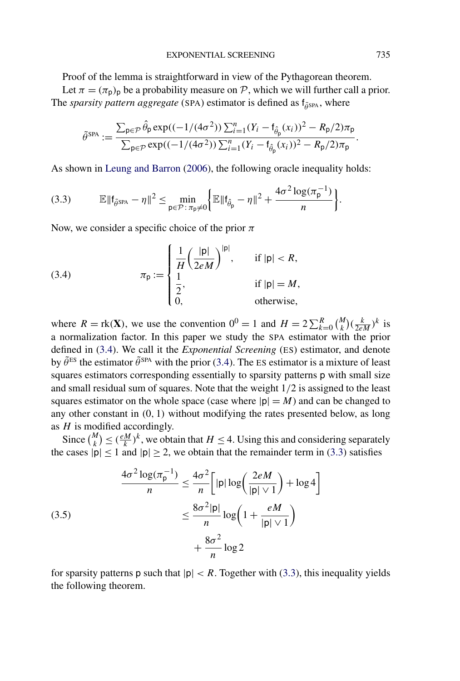<span id="page-4-0"></span>Proof of the lemma is straightforward in view of the Pythagorean theorem.

Let  $\pi = (\pi_p)_p$  be a probability measure on P, which we will further call a prior. The *sparsity pattern aggregate* (SPA) estimator is defined as  $f_{\tilde{\theta}^{\text{SPA}}}$ , where

$$
\tilde{\theta}^{\text{SPA}} := \frac{\sum_{\mathsf{p} \in \mathcal{P}} \hat{\theta}_{\mathsf{p}} \exp((-1/(4\sigma^2)) \sum_{i=1}^n (Y_i - \mathsf{f}_{\hat{\theta}_{\mathsf{p}}}(x_i))^2 - R_{\mathsf{p}}/2)\pi_{\mathsf{p}}}{\sum_{\mathsf{p} \in \mathcal{P}} \exp((-1/(4\sigma^2)) \sum_{i=1}^n (Y_i - \mathsf{f}_{\hat{\theta}_{\mathsf{p}}}(x_i))^2 - R_{\mathsf{p}}/2)\pi_{\mathsf{p}}}.
$$

As shown in [Leung and Barron](#page-39-0) [\(2006\)](#page-39-0), the following oracle inequality holds:

$$
(3.3) \qquad \mathbb{E}\|\mathsf{f}_{\tilde{\theta}^{\text{SPA}}} - \eta\|^2 \leq \min_{\mathsf{p}\in\mathcal{P}: \pi_{\mathsf{p}}\neq 0} \bigg\{\mathbb{E}\|\mathsf{f}_{\hat{\theta}_{\mathsf{p}}} - \eta\|^2 + \frac{4\sigma^2\log(\pi_{\mathsf{p}}^{-1})}{n}\bigg\}.
$$

Now, we consider a specific choice of the prior *π*

(3.4) 
$$
\pi_{p} := \begin{cases} \frac{1}{H} \left( \frac{|p|}{2eM} \right)^{|p|}, & \text{if } |p| < R, \\ \frac{1}{2}, & \text{if } |p| = M, \\ 0, & \text{otherwise}, \end{cases}
$$

where  $R = \text{rk}(\mathbf{X})$ , we use the convention  $0^0 = 1$  and  $H = 2 \sum_{k=0}^{R} {M \choose k} (\frac{k}{2eM})^k$  is a normalization factor. In this paper we study the SPA estimator with the prior defined in (3.4). We call it the *Exponential Screening* (ES) estimator, and denote by  $\tilde{\theta}^{ES}$  the estimator  $\tilde{\theta}^{SPA}$  with the prior (3.4). The ES estimator is a mixture of least squares estimators corresponding essentially to sparsity patterns p with small size and small residual sum of squares. Note that the weight 1*/*2 is assigned to the least squares estimator on the whole space (case where  $|p| = M$ ) and can be changed to any other constant in *(*0*,* 1*)* without modifying the rates presented below, as long as *H* is modified accordingly.

Since  $\binom{M}{k} \leq \left(\frac{eM}{k}\right)^k$ , we obtain that  $H \leq 4$ . Using this and considering separately the cases  $|p| \le 1$  and  $|p| \ge 2$ , we obtain that the remainder term in (3.3) satisfies

(3.5)  
\n
$$
\frac{4\sigma^2 \log(\pi_{p}^{-1})}{n} \le \frac{4\sigma^2}{n} \Big[ |p| \log \Big( \frac{2eM}{|p| \vee 1} \Big) + \log 4 \Big]
$$
\n
$$
\le \frac{8\sigma^2 |p|}{n} \log \Big( 1 + \frac{eM}{|p| \vee 1} \Big)
$$
\n
$$
+ \frac{8\sigma^2}{n} \log 2
$$

for sparsity patterns p such that  $|p| < R$ . Together with (3.3), this inequality yields the following theorem.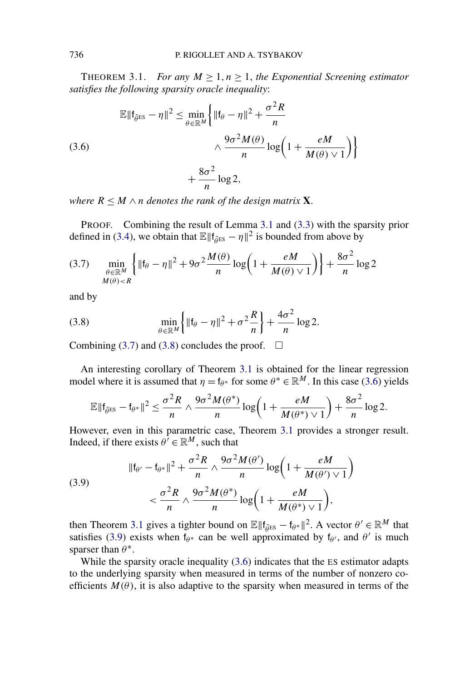<span id="page-5-0"></span>THEOREM 3.1. *For any*  $M \geq 1, n \geq 1$ , the Exponential Screening estimator *satisfies the following sparsity oracle inequality*:

$$
\mathbb{E}||\mathbf{f}_{\tilde{\theta}^{ES}} - \eta||^2 \le \min_{\theta \in \mathbb{R}^M} \left\{ ||\mathbf{f}_{\theta} - \eta||^2 + \frac{\sigma^2 R}{n} \right\}
$$
  
(3.6)  

$$
\wedge \frac{9\sigma^2 M(\theta)}{n} \log \left( 1 + \frac{eM}{M(\theta) \vee 1} \right) \right\}
$$
  

$$
+ \frac{8\sigma^2}{n} \log 2,
$$

*where*  $R \leq M \wedge n$  *denotes the rank of the design matrix* **X**.

PROOF. Combining the result of Lemma [3.1](#page-3-0) and [\(3.3\)](#page-4-0) with the sparsity prior defined in [\(3.4\)](#page-4-0), we obtain that  $\mathbb{E} || \mathbf{f}_{\tilde{\theta}^{ES}} - \eta ||^2$  is bounded from above by

$$
(3.7) \quad \min_{\substack{\theta \in \mathbb{R}^M \\ M(\theta) < R}} \left\{ \|\mathfrak{f}_{\theta} - \eta\|^2 + 9\sigma^2 \frac{M(\theta)}{n} \log \left( 1 + \frac{eM}{M(\theta) \vee 1} \right) \right\} + \frac{8\sigma^2}{n} \log 2
$$

and by

(3.8) 
$$
\min_{\theta \in \mathbb{R}^M} \left\{ \left\| \mathfrak{f}_{\theta} - \eta \right\|^2 + \sigma^2 \frac{R}{n} \right\} + \frac{4\sigma^2}{n} \log 2.
$$

Combining (3.7) and (3.8) concludes the proof.  $\Box$ 

An interesting corollary of Theorem 3.1 is obtained for the linear regression model where it is assumed that  $\eta = \mathfrak{f}_{\theta^*}$  for some  $\theta^* \in \mathbb{R}^M$ . In this case (3.6) yields

$$
\mathbb{E} \|\mathbf{f}_{\tilde{\theta}^{ES}} - \mathbf{f}_{\theta^*}\|^2 \leq \frac{\sigma^2 R}{n} \wedge \frac{9\sigma^2 M(\theta^*)}{n} \log \left(1 + \frac{eM}{M(\theta^*) \vee 1}\right) + \frac{8\sigma^2}{n} \log 2.
$$

However, even in this parametric case, Theorem 3.1 provides a stronger result. Indeed, if there exists  $\theta' \in \mathbb{R}^M$ , such that

(3.9)  

$$
\begin{aligned}\n\|f_{\theta'} - f_{\theta^*}\|^2 + \frac{\sigma^2 R}{n} \wedge \frac{9\sigma^2 M(\theta')}{n} \log \left(1 + \frac{eM}{M(\theta') \vee 1}\right) \\
&\lt \frac{\sigma^2 R}{n} \wedge \frac{9\sigma^2 M(\theta^*)}{n} \log \left(1 + \frac{eM}{M(\theta^*) \vee 1}\right),\n\end{aligned}
$$

then Theorem 3.1 gives a tighter bound on  $\mathbb{E} ||f_{\tilde{\theta}^{ES}} - f_{\theta^*}||^2$ . A vector  $\theta' \in \mathbb{R}^M$  that satisfies (3.9) exists when  $f_{\theta^*}$  can be well approximated by  $f_{\theta}$ , and  $\theta'$  is much sparser than  $\theta^*$ .

While the sparsity oracle inequality (3.6) indicates that the ES estimator adapts to the underlying sparsity when measured in terms of the number of nonzero coefficients  $M(\theta)$ , it is also adaptive to the sparsity when measured in terms of the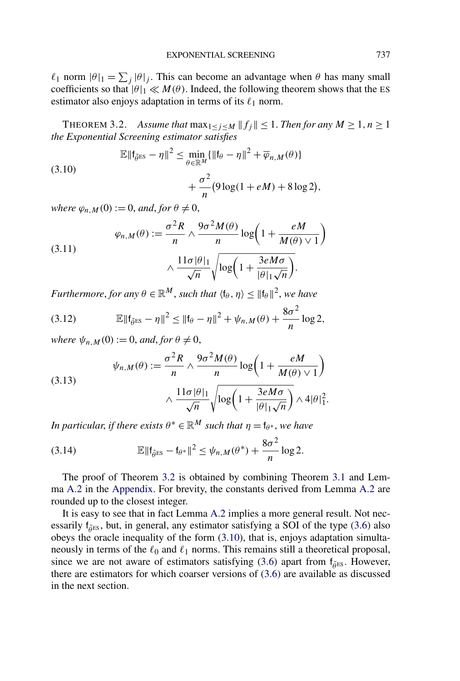<span id="page-6-0"></span> $\ell_1$  norm  $|\theta|_1 = \sum_j |\theta|_j$ . This can become an advantage when  $\theta$  has many small coefficients so that  $|\theta|_1 \ll M(\theta)$ . Indeed, the following theorem shows that the ES estimator also enjoys adaptation in terms of its  $\ell_1$  norm.

THEOREM 3.2. *Assume that*  $\max_{1 \leq j \leq M} ||f_j|| \leq 1$ . *Then for any*  $M \geq 1, n \geq 1$ *the Exponential Screening estimator satisfies*

(3.10)  

$$
\mathbb{E}||\mathbf{f}_{\tilde{\theta}^{ES}} - \eta||^2 \leq \min_{\theta \in \mathbb{R}^M} \{||\mathbf{f}_{\theta} - \eta||^2 + \overline{\varphi}_{n,M}(\theta)\} + \frac{\sigma^2}{n} (9 \log(1 + eM) + 8 \log 2),
$$

*where*  $\varphi_{n,M}(0) := 0$ , *and*, *for*  $\theta \neq 0$ ,

(3.11) 
$$
\varphi_{n,M}(\theta) := \frac{\sigma^2 R}{n} \wedge \frac{9\sigma^2 M(\theta)}{n} \log \left( 1 + \frac{eM}{M(\theta) \vee 1} \right) \wedge \frac{11\sigma |\theta|_1}{\sqrt{n}} \sqrt{\log \left( 1 + \frac{3eM\sigma}{|\theta|_1 \sqrt{n}} \right)}.
$$

*Furthermore, for any*  $\theta \in \mathbb{R}^M$ , *such that*  $\langle f_\theta, \eta \rangle \leq ||f_\theta||^2$ , we have

(3.12) 
$$
\mathbb{E} \|f_{\tilde{\theta}^{ES}} - \eta\|^2 \leq \|f_{\theta} - \eta\|^2 + \psi_{n,M}(\theta) + \frac{8\sigma^2}{n}\log 2,
$$

*where*  $\psi_{n,M}(0) := 0$ , *and*, *for*  $\theta \neq 0$ ,

(3.13) 
$$
\psi_{n,M}(\theta) := \frac{\sigma^2 R}{n} \wedge \frac{9\sigma^2 M(\theta)}{n} \log \left( 1 + \frac{eM}{M(\theta) \vee 1} \right) \wedge \frac{11\sigma |\theta|_1}{\sqrt{n}} \sqrt{\log \left( 1 + \frac{3eM\sigma}{|\theta|_1 \sqrt{n}} \right)} \wedge 4|\theta|_1^2.
$$

*In particular, if there exists*  $\theta^* \in \mathbb{R}^M$  *such that*  $\eta = \mathfrak{f}_{\theta^*}$ *, we have* 

(3.14) 
$$
\mathbb{E}\|\mathbf{f}_{\tilde{\theta}^{ES}} - \mathbf{f}_{\theta^*}\|^2 \leq \psi_{n,M}(\theta^*) + \frac{8\sigma^2}{n}\log 2.
$$

The proof of Theorem 3.2 is obtained by combining Theorem [3.1](#page-5-0) and Lemma [A.2](#page-32-0) in the [Appendix.](#page-30-0) For brevity, the constants derived from Lemma [A.2](#page-32-0) are rounded up to the closest integer.

It is easy to see that in fact Lemma [A.2](#page-32-0) implies a more general result. Not necessarily f<sub> $\tilde{\theta}$ Es, but, in general, any estimator satisfying a SOI of the type [\(3.6\)](#page-5-0) also</sub> obeys the oracle inequality of the form (3.10), that is, enjoys adaptation simultaneously in terms of the  $\ell_0$  and  $\ell_1$  norms. This remains still a theoretical proposal, since we are not aware of estimators satisfying [\(3.6\)](#page-5-0) apart from  $f_{\tilde{\theta}^{ES}}$ . However, there are estimators for which coarser versions of [\(3.6\)](#page-5-0) are available as discussed in the next section.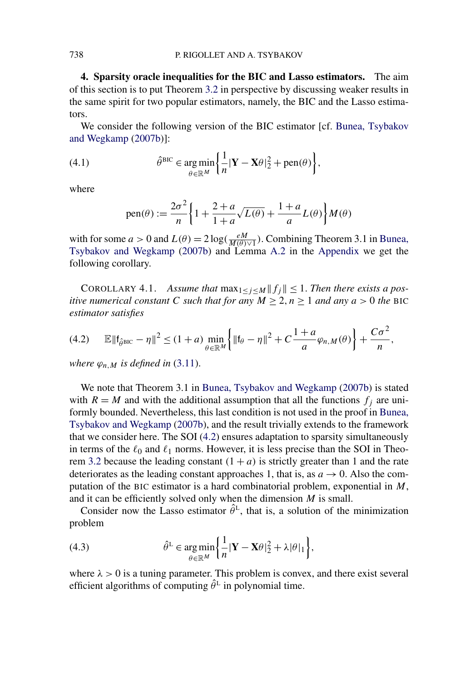<span id="page-7-0"></span>**4. Sparsity oracle inequalities for the BIC and Lasso estimators.** The aim of this section is to put Theorem [3.2](#page-6-0) in perspective by discussing weaker results in the same spirit for two popular estimators, namely, the BIC and the Lasso estimators.

We consider the following version of the BIC estimator [cf. [Bunea, Tsybakov](#page-38-0) [and Wegkamp](#page-38-0) [\(2007b\)](#page-38-0)]:

(4.1) 
$$
\hat{\theta}^{\text{BIC}} \in \underset{\theta \in \mathbb{R}^M}{\arg \min} \left\{ \frac{1}{n} |\mathbf{Y} - \mathbf{X}\theta|_2^2 + \text{pen}(\theta) \right\},
$$

where

pen
$$
pen(\theta) := \frac{2\sigma^2}{n} \left\{ 1 + \frac{2+a}{1+a} \sqrt{L(\theta)} + \frac{1+a}{a} L(\theta) \right\} M(\theta)
$$

with for some  $a > 0$  and  $L(\theta) = 2 \log(\frac{eM}{M(\theta) \vee 1})$ . Combining Theorem 3.1 in [Bunea,](#page-38-0) [Tsybakov and Wegkamp](#page-38-0) [\(2007b\)](#page-38-0) and Lemma [A.2](#page-32-0) in the [Appendix](#page-30-0) we get the following corollary.

COROLLARY 4.1. Assume that  $\max_{1 \leq j \leq M} ||f_j|| \leq 1$ . Then there exists a pos*itive numerical constant C such that for any*  $M \geq 2, n \geq 1$  *and any*  $a > 0$  *the* BIC *estimator satisfies*

$$
(4.2) \qquad \mathbb{E}\|\mathbf{f}_{\hat{\theta}^{\text{BIC}}} - \eta\|^2 \le (1+a) \min_{\theta \in \mathbb{R}^M} \left\{ \|\mathbf{f}_{\theta} - \eta\|^2 + C \frac{1+a}{a} \varphi_{n,M}(\theta) \right\} + \frac{C\sigma^2}{n},
$$

*where*  $\varphi_{n,M}$  *is defined in* [\(3.11\)](#page-6-0).

We note that Theorem 3.1 in [Bunea, Tsybakov and Wegkamp](#page-38-0) [\(2007b\)](#page-38-0) is stated with  $R = M$  and with the additional assumption that all the functions  $f_i$  are uniformly bounded. Nevertheless, this last condition is not used in the proof in [Bunea,](#page-38-0) [Tsybakov and Wegkamp](#page-38-0) [\(2007b\)](#page-38-0), and the result trivially extends to the framework that we consider here. The SOI (4.2) ensures adaptation to sparsity simultaneously in terms of the  $\ell_0$  and  $\ell_1$  norms. However, it is less precise than the SOI in Theo-rem [3.2](#page-6-0) because the leading constant  $(1 + a)$  is strictly greater than 1 and the rate deteriorates as the leading constant approaches 1, that is, as  $a \rightarrow 0$ . Also the computation of the BIC estimator is a hard combinatorial problem, exponential in *M*, and it can be efficiently solved only when the dimension *M* is small.

Consider now the Lasso estimator  $\hat{\theta}^L$ , that is, a solution of the minimization problem

(4.3) 
$$
\hat{\theta}^{L} \in \underset{\theta \in \mathbb{R}^{M}}{\arg \min} \left\{ \frac{1}{n} |\mathbf{Y} - \mathbf{X}\theta|_{2}^{2} + \lambda |\theta|_{1} \right\},
$$

where  $\lambda > 0$  is a tuning parameter. This problem is convex, and there exist several efficient algorithms of computing  $\hat{\theta}^L$  in polynomial time.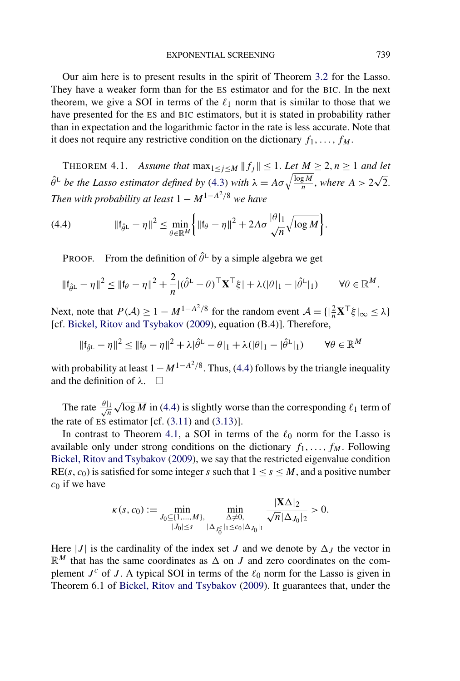<span id="page-8-0"></span>Our aim here is to present results in the spirit of Theorem [3.2](#page-6-0) for the Lasso. They have a weaker form than for the ES estimator and for the BIC. In the next theorem, we give a SOI in terms of the  $\ell_1$  norm that is similar to those that we have presented for the ES and BIC estimators, but it is stated in probability rather than in expectation and the logarithmic factor in the rate is less accurate. Note that it does not require any restrictive condition on the dictionary  $f_1, \ldots, f_M$ .

THEOREM 4.1. Assume that  $\max_{1 \leq j \leq M} ||f_j|| \leq 1$ . Let  $M \geq 2, n \geq 1$  and let *θ*<sup>L</sup> *be the Lasso estimator defined by* [\(4.3\)](#page-7-0) *with*  $\lambda = A\sigma \sqrt{\frac{\log M}{n}}$ , *where*  $A > 2\sqrt{2}$ . *Then with probability at least*  $1 - M^{1-A^2/8}$  *we have* 

(4.4) 
$$
\|f_{\hat{\theta}^L} - \eta\|^2 \leq \min_{\theta \in \mathbb{R}^M} \left\{ \|f_{\theta} - \eta\|^2 + 2A\sigma \frac{|\theta|_1}{\sqrt{n}} \sqrt{\log M} \right\}.
$$

PROOF. From the definition of  $\hat{\theta}^L$  by a simple algebra we get

$$
\|\mathbf{f}_{\hat{\theta}^{\mathrm{L}}} - \eta\|^2 \le \|\mathbf{f}_{\theta} - \eta\|^2 + \frac{2}{n} |(\hat{\theta}^{\mathrm{L}} - \theta)^{\top} \mathbf{X}^{\top} \xi| + \lambda (|\theta|_{1} - |\hat{\theta}^{\mathrm{L}}|_{1}) \qquad \forall \theta \in \mathbb{R}^M.
$$

Next, note that  $P(A) \ge 1 - M^{1-A^2/8}$  for the random event  $A = \left\{ |\frac{2}{n} \mathbf{X}^\top \xi|_{\infty} \le \lambda \right\}$ [cf. [Bickel, Ritov and Tsybakov](#page-38-0) [\(2009\)](#page-38-0), equation (B.4)]. Therefore,

$$
\|\mathbf{f}_{\hat{\theta}^{\mathrm{L}}} - \eta\|^2 \le \|\mathbf{f}_{\theta} - \eta\|^2 + \lambda |\hat{\theta}^{\mathrm{L}} - \theta|_1 + \lambda (|\theta|_1 - |\hat{\theta}^{\mathrm{L}}|_1) \qquad \forall \theta \in \mathbb{R}^M
$$

with probability at least  $1-M^{1-A^2/8}$ . Thus, (4.4) follows by the triangle inequality and the definition of  $\lambda$ .  $\square$ 

The rate  $\frac{|\theta|_1}{\sqrt{n}}$  $\frac{1}{n}\sqrt{\log M}$  in (4.4) is slightly worse than the corresponding  $\ell_1$  term of the rate of ES estimator [cf.  $(3.11)$  and  $(3.13)$ ].

In contrast to Theorem 4.1, a SOI in terms of the  $\ell_0$  norm for the Lasso is available only under strong conditions on the dictionary  $f_1, \ldots, f_M$ . Following [Bickel, Ritov and Tsybakov](#page-38-0) [\(2009\)](#page-38-0), we say that the restricted eigenvalue condition RE(*s*, *c*<sub>0</sub>) is satisfied for some integer *s* such that  $1 \leq s \leq M$ , and a positive number  $c_0$  if we have

$$
\kappa(s, c_0) := \min_{\substack{J_0 \subseteq \{1, \ldots, M\}, \\ |J_0| \le s}} \min_{\substack{\Delta \neq 0, \\ |\Delta_{J_0^c}|_1 \le c_0 |\Delta_{J_0}|_1}} \frac{|\mathbf{X}\Delta|_2}{\sqrt{n} |\Delta_{J_0}|_2} > 0.
$$

Here |*J*| is the cardinality of the index set *J* and we denote by  $\Delta_J$  the vector in  $\mathbb{R}^M$  that has the same coordinates as  $\Delta$  on *J* and zero coordinates on the complement  $J^c$  of *J*. A typical SOI in terms of the  $\ell_0$  norm for the Lasso is given in Theorem 6.1 of [Bickel, Ritov and Tsybakov](#page-38-0) [\(2009\)](#page-38-0). It guarantees that, under the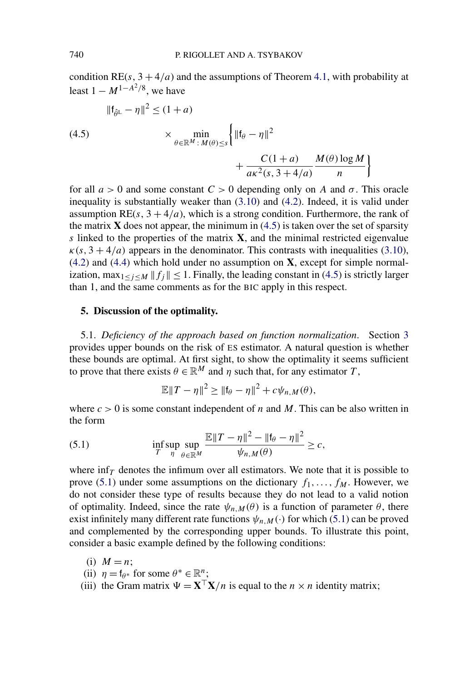<span id="page-9-0"></span>condition  $RE(s, 3 + 4/a)$  and the assumptions of Theorem [4.1,](#page-8-0) with probability at least  $1 - M^{1-A^2/8}$ , we have

(4.5)  
\n
$$
\|\mathbf{f}_{\hat{\theta}^{\mathrm{L}}} - \eta\|^2 \le (1+a)
$$
\n
$$
\times \min_{\theta \in \mathbb{R}^M \colon M(\theta) \le s} \left\{ \|\mathbf{f}_{\theta} - \eta\|^2 + \frac{C(1+a)}{a\kappa^2(s, 3+4/a)} \frac{M(\theta) \log M}{n} \right\}
$$

for all  $a > 0$  and some constant  $C > 0$  depending only on A and  $\sigma$ . This oracle inequality is substantially weaker than [\(3.10\)](#page-6-0) and [\(4.2\)](#page-7-0). Indeed, it is valid under assumption  $RE(s, 3 + 4/a)$ , which is a strong condition. Furthermore, the rank of the matrix  $\bf{X}$  does not appear, the minimum in (4.5) is taken over the set of sparsity *s* linked to the properties of the matrix **X**, and the minimal restricted eigenvalue  $\kappa(s, 3 + 4/a)$  appears in the denominator. This contrasts with inequalities [\(3.10\)](#page-6-0), [\(4.2\)](#page-7-0) and [\(4.4\)](#page-8-0) which hold under no assumption on **X**, except for simple normalization, max<sub>1≤*j*≤*M*  $||f_j|| \le 1$ . Finally, the leading constant in (4.5) is strictly larger</sub> than 1, and the same comments as for the BIC apply in this respect.

### **5. Discussion of the optimality.**

5.1. *Deficiency of the approach based on function normalization*. Section [3](#page-3-0) provides upper bounds on the risk of ES estimator. A natural question is whether these bounds are optimal. At first sight, to show the optimality it seems sufficient to prove that there exists  $\theta \in \mathbb{R}^M$  and  $\eta$  such that, for any estimator *T*,

$$
\mathbb{E} ||T - \eta||^2 \ge ||\mathbf{f}_{\theta} - \eta||^2 + c\psi_{n,M}(\theta),
$$

where  $c > 0$  is some constant independent of *n* and *M*. This can be also written in the form

(5.1) 
$$
\inf_{T} \sup_{\eta} \sup_{\theta \in \mathbb{R}^M} \frac{\mathbb{E} \|T - \eta\|^2 - \|\mathfrak{f}_{\theta} - \eta\|^2}{\psi_{n,M}(\theta)} \geq c,
$$

where  $\inf_{T}$  denotes the infimum over all estimators. We note that it is possible to prove (5.1) under some assumptions on the dictionary  $f_1, \ldots, f_M$ . However, we do not consider these type of results because they do not lead to a valid notion of optimality. Indeed, since the rate  $\psi_{n,M}(\theta)$  is a function of parameter  $\theta$ , there exist infinitely many different rate functions  $\psi_{n,M}(\cdot)$  for which (5.1) can be proved and complemented by the corresponding upper bounds. To illustrate this point, consider a basic example defined by the following conditions:

- (i)  $M = n$ ;
- (ii)  $\eta = \mathfrak{f}_{\theta^*}$  for some  $\theta^* \in \mathbb{R}^n$ ;
- (iii) the Gram matrix  $\Psi = \mathbf{X}^\top \mathbf{X}/n$  is equal to the  $n \times n$  identity matrix;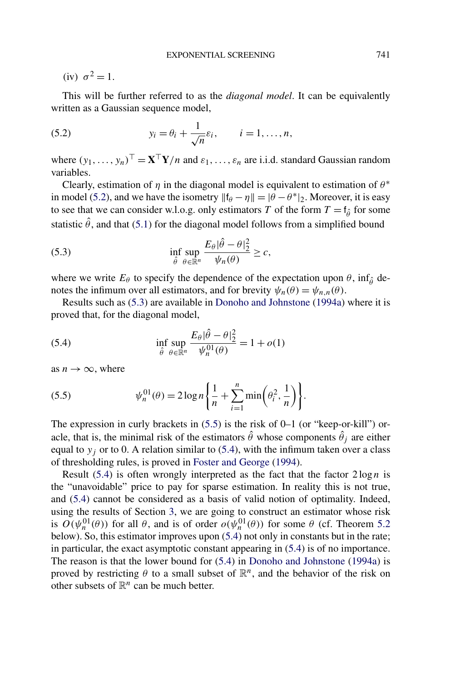<span id="page-10-0"></span>(iv)  $\sigma^2 = 1$ .

This will be further referred to as the *diagonal model*. It can be equivalently written as a Gaussian sequence model,

(5.2) 
$$
y_i = \theta_i + \frac{1}{\sqrt{n}} \varepsilon_i, \qquad i = 1, \dots, n,
$$

where  $(y_1, \ldots, y_n)^\top = \mathbf{X}^\top \mathbf{Y}/n$  and  $\varepsilon_1, \ldots, \varepsilon_n$  are i.i.d. standard Gaussian random variables.

Clearly, estimation of  $\eta$  in the diagonal model is equivalent to estimation of  $\theta^*$ in model (5.2), and we have the isometry  $||f_{\theta} - \eta|| = |\theta - \theta^*|_2$ . Moreover, it is easy to see that we can consider w.l.o.g. only estimators *T* of the form  $T = f_{\hat{\theta}}$  for some statistic  $\hat{\theta}$ , and that [\(5.1\)](#page-9-0) for the diagonal model follows from a simplified bound

(5.3) 
$$
\inf_{\hat{\theta}} \sup_{\theta \in \mathbb{R}^n} \frac{E_{\theta}|\hat{\theta} - \theta|_2^2}{\psi_n(\theta)} \geq c,
$$

where we write  $E_{\theta}$  to specify the dependence of the expectation upon  $\theta$ , inf<sub> $\hat{\theta}$ </sub> denotes the infimum over all estimators, and for brevity  $\psi_n(\theta) = \psi_{n,n}(\theta)$ .

Results such as (5.3) are available in [Donoho and Johnstone](#page-38-0) [\(1994a\)](#page-38-0) where it is proved that, for the diagonal model,

(5.4) 
$$
\inf_{\hat{\theta}} \sup_{\theta \in \mathbb{R}^n} \frac{E_{\theta} |\hat{\theta} - \theta|_2^2}{\psi_n^{01}(\theta)} = 1 + o(1)
$$

as  $n \to \infty$ , where

(5.5) 
$$
\psi_n^{01}(\theta) = 2 \log n \left\{ \frac{1}{n} + \sum_{i=1}^n \min \left( \theta_i^2, \frac{1}{n} \right) \right\}.
$$

The expression in curly brackets in (5.5) is the risk of 0–1 (or "keep-or-kill") oracle, that is, the minimal risk of the estimators  $\hat{\theta}$  whose components  $\hat{\theta}_j$  are either equal to  $y_i$  or to 0. A relation similar to (5.4), with the infimum taken over a class of thresholding rules, is proved in [Foster and George](#page-39-0) [\(1994\)](#page-39-0).

Result  $(5.4)$  is often wrongly interpreted as the fact that the factor  $2 \log n$  is the "unavoidable" price to pay for sparse estimation. In reality this is not true, and (5.4) cannot be considered as a basis of valid notion of optimality. Indeed, using the results of Section [3,](#page-3-0) we are going to construct an estimator whose risk is  $O(\psi_n^{01}(\theta))$  for all  $\theta$ , and is of order  $o(\psi_n^{01}(\theta))$  for some  $\theta$  (cf. Theorem [5.2](#page-12-0) below). So, this estimator improves upon (5.4) not only in constants but in the rate; in particular, the exact asymptotic constant appearing in (5.4) is of no importance. The reason is that the lower bound for (5.4) in [Donoho and Johnstone](#page-38-0) [\(1994a\)](#page-38-0) is proved by restricting  $\theta$  to a small subset of  $\mathbb{R}^n$ , and the behavior of the risk on other subsets of  $\mathbb{R}^n$  can be much better.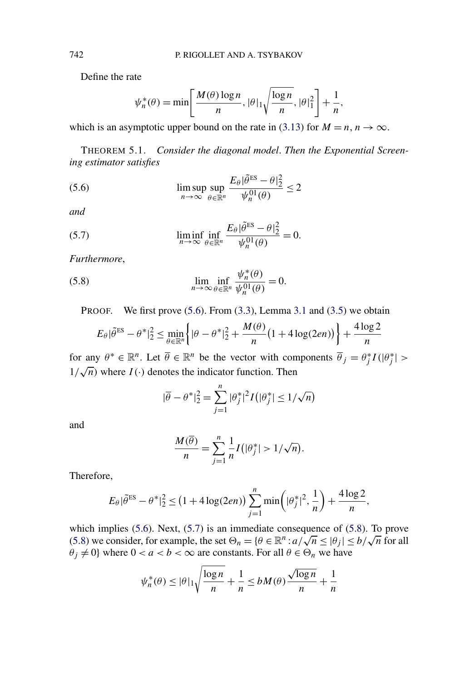Define the rate

$$
\psi_n^*(\theta) = \min\left[\frac{M(\theta)\log n}{n}, |\theta|_1\sqrt{\frac{\log n}{n}}, |\theta|_1^2\right] + \frac{1}{n},
$$

which is an asymptotic upper bound on the rate in [\(3.13\)](#page-6-0) for  $M = n, n \to \infty$ .

THEOREM 5.1. *Consider the diagonal model*. *Then the Exponential Screening estimator satisfies*

(5.6) 
$$
\limsup_{n \to \infty} \sup_{\theta \in \mathbb{R}^n} \frac{E_{\theta} |\tilde{\theta}^{ES} - \theta|_2^2}{\psi_n^{01}(\theta)} \le 2
$$

*and*

(5.7) 
$$
\liminf_{n \to \infty} \inf_{\theta \in \mathbb{R}^n} \frac{E_{\theta} |\tilde{\theta}^{ES} - \theta|_2^2}{\psi_n^{01}(\theta)} = 0.
$$

*Furthermore*,

(5.8) 
$$
\lim_{n \to \infty} \inf_{\theta \in \mathbb{R}^n} \frac{\psi_n^*(\theta)}{\psi_n^{01}(\theta)} = 0.
$$

PROOF. We first prove  $(5.6)$ . From  $(3.3)$ , Lemma [3.1](#page-3-0) and  $(3.5)$  we obtain

$$
E_{\theta}|\tilde{\theta}^{ES} - \theta^*|_2^2 \le \min_{\theta \in \mathbb{R}^n} \left\{ |\theta - \theta^*|_2^2 + \frac{M(\theta)}{n} \left( 1 + 4\log(2en) \right) \right\} + \frac{4\log 2}{n}
$$

for any  $\theta^* \in \mathbb{R}^n$ . Let  $\overline{\theta} \in \mathbb{R}^n$  be the vector with components  $\overline{\theta}_j = \theta_j^* I(|\theta_j^*| >$  $1/\sqrt{n}$ ) where  $I(\cdot)$  denotes the indicator function. Then

$$
|\overline{\theta} - \theta^*|_2^2 = \sum_{j=1}^n |\theta_j^*|^2 I(|\theta_j^*| \le 1/\sqrt{n})
$$

and

$$
\frac{M(\overline{\theta})}{n} = \sum_{j=1}^{n} \frac{1}{n} I(|\theta_j^*| > 1/\sqrt{n}).
$$

Therefore,

$$
E_{\theta}|\tilde{\theta}^{ES} - \theta^*|_2^2 \le (1 + 4\log(2en)) \sum_{j=1}^n \min\left(|\theta_j^*|^2, \frac{1}{n}\right) + \frac{4\log 2}{n},
$$

which implies (5.6). Next, (5.7) is an immediate consequence of (5.8). To prove (5.8) we consider, for example, the set  $\Theta_n = {\theta \in \mathbb{R}^n : a/\sqrt{n} \leq |\theta_j| \leq b/\sqrt{n}}$  for all  $\theta_i \neq 0$ } where  $0 < a < b < \infty$  are constants. For all  $\theta \in \Theta_n$  we have

$$
\psi_n^*(\theta) \le |\theta|_1 \sqrt{\frac{\log n}{n}} + \frac{1}{n} \le bM(\theta) \frac{\sqrt{\log n}}{n} + \frac{1}{n}
$$

<span id="page-11-0"></span>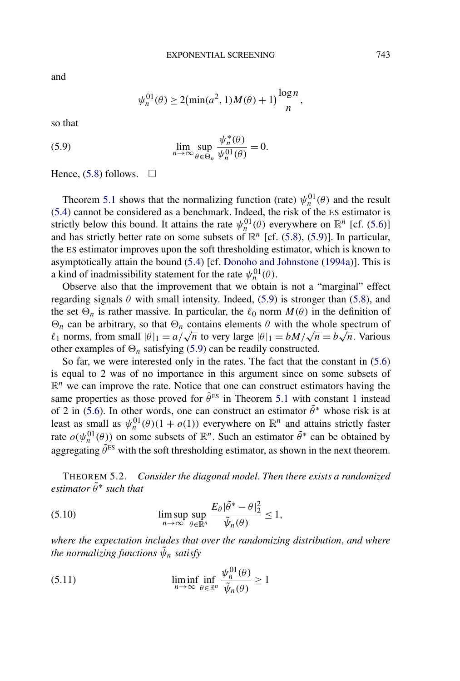<span id="page-12-0"></span>and

$$
\psi_n^{01}(\theta) \ge 2(\min(a^2, 1)M(\theta) + 1)\frac{\log n}{n},
$$

so that

(5.9) 
$$
\lim_{n \to \infty} \sup_{\theta \in \Theta_n} \frac{\psi_n^*(\theta)}{\psi_n^{01}(\theta)} = 0.
$$

Hence,  $(5.8)$  follows.  $\Box$ 

Theorem [5.1](#page-11-0) shows that the normalizing function (rate)  $\psi_n^{01}(\theta)$  and the result [\(5.4\)](#page-10-0) cannot be considered as a benchmark. Indeed, the risk of the ES estimator is strictly below this bound. It attains the rate  $\psi_n^{01}(\theta)$  everywhere on  $\mathbb{R}^n$  [cf. [\(5.6\)](#page-11-0)] and has strictly better rate on some subsets of  $\mathbb{R}^n$  [cf. [\(5.8\)](#page-11-0), (5.9)]. In particular, the ES estimator improves upon the soft thresholding estimator, which is known to asymptotically attain the bound [\(5.4\)](#page-10-0) [cf. [Donoho and Johnstone](#page-38-0) [\(1994a\)](#page-38-0)]. This is a kind of inadmissibility statement for the rate  $\psi_n^{01}(\theta)$ .

Observe also that the improvement that we obtain is not a "marginal" effect regarding signals *θ* with small intensity. Indeed, (5.9) is stronger than [\(5.8\)](#page-11-0), and the set  $\Theta_n$  is rather massive. In particular, the  $\ell_0$  norm  $M(\theta)$  in the definition of  $\Theta_n$  can be arbitrary, so that  $\Theta_n$  contains elements  $\theta$  with the whole spectrum of  $\mathcal{O}_n$  can be arourary, so that  $\mathcal{O}_n$  comains elements  $\theta$  with the whole spectrum of  $\ell_1$  norms, from small  $|\theta|_1 = a/\sqrt{n}$  to very large  $|\theta|_1 = bM/\sqrt{n} = b\sqrt{n}$ . Various other examples of  $\Theta_n$  satisfying (5.9) can be readily constructed.

So far, we were interested only in the rates. The fact that the constant in [\(5.6\)](#page-11-0) is equal to 2 was of no importance in this argument since on some subsets of  $\mathbb{R}^n$  we can improve the rate. Notice that one can construct estimators having the same properties as those proved for  $\tilde{\theta}^{ES}$  in Theorem [5.1](#page-11-0) with constant 1 instead of 2 in [\(5.6\)](#page-11-0). In other words, one can construct an estimator *θ*˜∗ whose risk is at least as small as  $\psi_n^{01}(\theta)(1 + o(1))$  everywhere on  $\mathbb{R}^n$  and attains strictly faster rate  $o(\psi_n^{01}(\theta))$  on some subsets of  $\mathbb{R}^n$ . Such an estimator  $\tilde{\theta}^*$  can be obtained by aggregating  $\tilde{\theta}^{ES}$  with the soft thresholding estimator, as shown in the next theorem.

THEOREM 5.2. *Consider the diagonal model*. *Then there exists a randomized estimator θ*˜∗ *such that*

(5.10) 
$$
\limsup_{n \to \infty} \sup_{\theta \in \mathbb{R}^n} \frac{E_{\theta} |\tilde{\theta}^* - \theta|_2^2}{\tilde{\psi}_n(\theta)} \le 1,
$$

*where the expectation includes that over the randomizing distribution*, *and where the normalizing functions*  $\psi_n$  *satisfy* 

(5.11) 
$$
\liminf_{n \to \infty} \inf_{\theta \in \mathbb{R}^n} \frac{\psi_n^{01}(\theta)}{\tilde{\psi}_n(\theta)} \ge 1
$$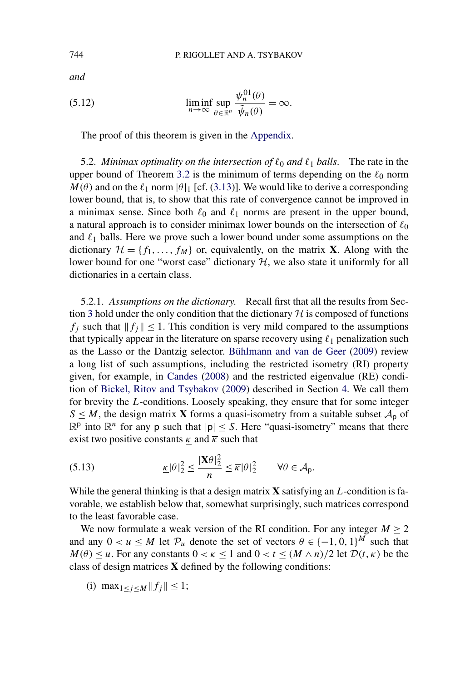*and*

(5.12) 
$$
\liminf_{n \to \infty} \sup_{\theta \in \mathbb{R}^n} \frac{\psi_n^{01}(\theta)}{\tilde{\psi}_n(\theta)} = \infty.
$$

The proof of this theorem is given in the [Appendix.](#page-30-0)

5.2. *Minimax optimality on the intersection of*  $\ell_0$  *and*  $\ell_1$  *balls*. The rate in the upper bound of Theorem [3.2](#page-6-0) is the minimum of terms depending on the  $\ell_0$  norm  $M(\theta)$  and on the  $\ell_1$  norm  $|\theta|_1$  [cf. [\(3.13\)](#page-6-0)]. We would like to derive a corresponding lower bound, that is, to show that this rate of convergence cannot be improved in a minimax sense. Since both  $\ell_0$  and  $\ell_1$  norms are present in the upper bound, a natural approach is to consider minimax lower bounds on the intersection of  $\ell_0$ and  $\ell_1$  balls. Here we prove such a lower bound under some assumptions on the dictionary  $\mathcal{H} = \{f_1, \ldots, f_M\}$  or, equivalently, on the matrix **X**. Along with the lower bound for one "worst case" dictionary  $H$ , we also state it uniformly for all dictionaries in a certain class.

5.2.1. *Assumptions on the dictionary*. Recall first that all the results from Sec-tion [3](#page-3-0) hold under the only condition that the dictionary  $H$  is composed of functions  $f_j$  such that  $||f_j|| \leq 1$ . This condition is very mild compared to the assumptions that typically appear in the literature on sparse recovery using  $\ell_1$  penalization such as the Lasso or the Dantzig selector. [Bühlmann and van de Geer](#page-38-0) [\(2009\)](#page-38-0) review a long list of such assumptions, including the restricted isometry (RI) property given, for example, in [Candes](#page-38-0) [\(2008\)](#page-38-0) and the restricted eigenvalue (RE) condition of [Bickel, Ritov and Tsybakov](#page-38-0) [\(2009\)](#page-38-0) described in Section [4.](#page-7-0) We call them for brevity the *L*-conditions. Loosely speaking, they ensure that for some integer  $S \leq M$ , the design matrix **X** forms a quasi-isometry from a suitable subset  $\mathcal{A}_p$  of  $\mathbb{R}^p$  into  $\mathbb{R}^n$  for any p such that  $|p| \leq S$ . Here "quasi-isometry" means that there exist two positive constants  $\kappa$  and  $\bar{\kappa}$  such that

(5.13) 
$$
\underline{\kappa}|\theta|_2^2 \leq \frac{|\mathbf{X}\theta|_2^2}{n} \leq \overline{\kappa}|\theta|_2^2 \qquad \forall \theta \in \mathcal{A}_p.
$$

While the general thinking is that a design matrix **X** satisfying an *L*-condition is favorable, we establish below that, somewhat surprisingly, such matrices correspond to the least favorable case.

We now formulate a weak version of the RI condition. For any integer  $M \geq 2$ and any  $0 < u \leq M$  let  $\mathcal{P}_u$  denote the set of vectors  $\theta \in \{-1, 0, 1\}^M$  such that  $M(\theta) \le u$ . For any constants  $0 < \kappa \le 1$  and  $0 < t \le (M \wedge n)/2$  let  $\mathcal{D}(t, \kappa)$  be the class of design matrices **X** defined by the following conditions:

(i) max<sub>1≤*j*≤*M*</sub>  $||f_j|| \leq 1$ ;

<span id="page-13-0"></span>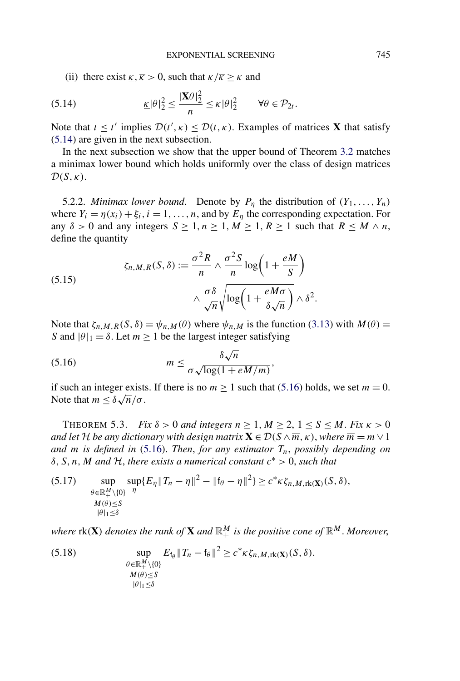<span id="page-14-0"></span>(ii) there exist  $\kappa, \bar{\kappa} > 0$ , such that  $\frac{\kappa}{\kappa} \geq \kappa$  and

(5.14) 
$$
\underline{\kappa}|\theta|_2^2 \leq \frac{|\mathbf{X}\theta|_2^2}{n} \leq \overline{\kappa}|\theta|_2^2 \qquad \forall \theta \in \mathcal{P}_{2t}.
$$

Note that  $t \leq t'$  implies  $\mathcal{D}(t', \kappa) \leq \mathcal{D}(t, \kappa)$ . Examples of matrices **X** that satisfy (5.14) are given in the next subsection.

In the next subsection we show that the upper bound of Theorem [3.2](#page-6-0) matches a minimax lower bound which holds uniformly over the class of design matrices  $\mathcal{D}(S,\kappa)$ .

5.2.2. *Minimax lower bound*. Denote by  $P_\eta$  the distribution of  $(Y_1, \ldots, Y_n)$ where  $Y_i = \eta(x_i) + \xi_i$ ,  $i = 1, ..., n$ , and by  $E_\eta$  the corresponding expectation. For any  $\delta > 0$  and any integers  $S \geq 1, n \geq 1, M \geq 1, R \geq 1$  such that  $R \leq M \wedge n$ , define the quantity

(5.15) 
$$
\zeta_{n,M,R}(S,\delta) := \frac{\sigma^2 R}{n} \wedge \frac{\sigma^2 S}{n} \log\left(1 + \frac{eM}{S}\right) \wedge \frac{\sigma \delta}{\sqrt{n}} \sqrt{\log\left(1 + \frac{eM\sigma}{\delta\sqrt{n}}\right)} \wedge \delta^2.
$$

Note that  $\zeta_{n,M,R}(S,\delta) = \psi_{n,M}(\theta)$  where  $\psi_{n,M}$  is the function [\(3.13\)](#page-6-0) with  $M(\theta) =$ *S* and  $|\theta|_1 = \delta$ . Let  $m \ge 1$  be the largest integer satisfying

(5.16) 
$$
m \leq \frac{\delta \sqrt{n}}{\sigma \sqrt{\log(1 + eM/m)}},
$$

if such an integer exists. If there is no  $m \ge 1$  such that (5.16) holds, we set  $m = 0$ . If such an integer exist.<br>Note that *m* ≤  $\delta\sqrt{n}/\sigma$ .

THEOREM 5.3. *Fix*  $\delta > 0$  *and integers*  $n \geq 1, M \geq 2, 1 \leq S \leq M$ . *Fix*  $\kappa > 0$ *and let* H *be any dictionary with design matrix*  $\mathbf{X} \in \mathcal{D}(S \wedge \overline{m}, \kappa)$ *, where*  $\overline{m} = m \vee 1$ *and m* is defined in (5.16). Then, for any estimator  $T_n$ , possibly depending on *δ,S,n,M and* <sup>H</sup>, *there exists a numerical constant <sup>c</sup>*<sup>∗</sup> *<sup>&</sup>gt;* 0, *such that*

(5.17) 
$$
\sup_{\substack{\theta \in \mathbb{R}_+^M \setminus \{0\} \\ M(\theta) \le S}} \sup_{\eta} \{ E_{\eta} \| T_n - \eta \|^2 - \| f_{\theta} - \eta \|^2 \} \ge c^* \kappa \zeta_{n,M,\text{rk}}(\mathbf{x}) (S, \delta),
$$

*where*  $\mathrm{rk}(\mathbf{X})$  *denotes the rank of*  $\mathbf{X}$  *and*  $\mathbb{R}^M_+$  *is the positive cone of*  $\mathbb{R}^M$  . Moreover,

(5.18) 
$$
\sup_{\substack{\theta \in \mathbb{R}_+^M \setminus \{0\} \\ M(\theta) \le S \\ |\theta|_1 \le \delta}} E_{f_\theta} \|T_n - f_\theta\|^2 \ge c^* \kappa \zeta_{n,M,\text{rk}}(\mathbf{X})(S,\delta).
$$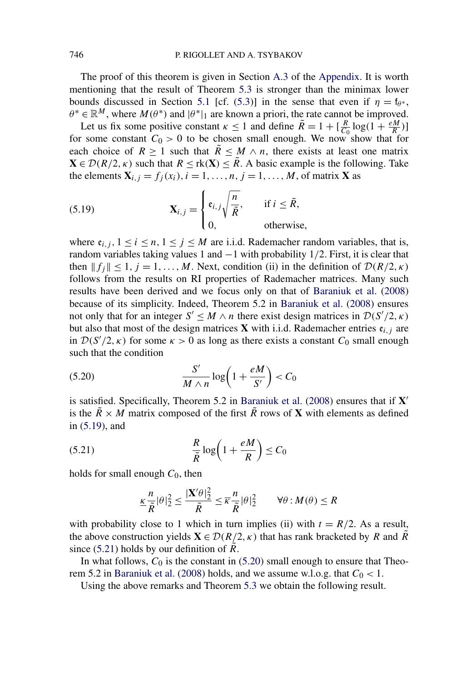<span id="page-15-0"></span>The proof of this theorem is given in Section [A.3](#page-35-0) of the [Appendix.](#page-30-0) It is worth mentioning that the result of Theorem [5.3](#page-14-0) is stronger than the minimax lower bounds discussed in Section [5.1](#page-9-0) [cf. [\(5.3\)](#page-10-0)] in the sense that even if  $\eta = f_{\theta^*}$ ,  $\theta^* \in \mathbb{R}^M$ , where  $M(\theta^*)$  and  $|\theta^*|_1$  are known a priori, the rate cannot be improved.

Let us fix some positive constant  $\kappa \le 1$  and define  $\overline{R} = 1 + \left[\frac{R}{C_0}\log(1 + \frac{eM}{R})\right]$ for some constant  $C_0 > 0$  to be chosen small enough. We now show that for each choice of  $R \ge 1$  such that  $R \le M \wedge n$ , there exists at least one matrix  $\mathbf{X} \in \mathcal{D}(R/2, \kappa)$  such that  $R \leq \text{rk}(\mathbf{X}) \leq \tilde{R}$ . A basic example is the following. Take the elements  $\mathbf{X}_{i,j} = f_j(x_i)$ ,  $i = 1, \ldots, n, j = 1, \ldots, M$ , of matrix **X** as

(5.19) 
$$
\mathbf{X}_{i,j} = \begin{cases} \varepsilon_{i,j} \sqrt{\frac{n}{\tilde{R}}}, & \text{if } i \leq \tilde{R}, \\ 0, & \text{otherwise}, \end{cases}
$$

where  $e_{i,j}$ ,  $1 \le i \le n$ ,  $1 \le j \le M$  are i.i.d. Rademacher random variables, that is, random variables taking values 1 and −1 with probability 1*/*2. First, it is clear that then  $||f_j|| \leq 1, j = 1, \ldots, M$ . Next, condition (ii) in the definition of  $D(R/2, \kappa)$ follows from the results on RI properties of Rademacher matrices. Many such results have been derived and we focus only on that of [Baraniuk et al.](#page-38-0) [\(2008\)](#page-38-0) because of its simplicity. Indeed, Theorem 5.2 in [Baraniuk et al.](#page-38-0) [\(2008\)](#page-38-0) ensures not only that for an integer  $S' \leq M \wedge n$  there exist design matrices in  $D(S'/2, \kappa)$ but also that most of the design matrices **X** with i.i.d. Rademacher entries  $e_{i,j}$  are in  $D(S'/2, \kappa)$  for some  $\kappa > 0$  as long as there exists a constant  $C_0$  small enough such that the condition

$$
(5.20)\qquad \qquad \frac{S'}{M \wedge n} \log \left(1 + \frac{eM}{S'}\right) < C_0
$$

is satisfied. Specifically, Theorem 5.2 in [Baraniuk et al.](#page-38-0) [\(2008\)](#page-38-0) ensures that if **X** is the  $\overline{R} \times M$  matrix composed of the first  $\overline{R}$  rows of **X** with elements as defined in (5.19), and

$$
(5.21)\qquad \qquad \frac{R}{\tilde{R}}\log\left(1+\frac{eM}{R}\right)\leq C_0
$$

holds for small enough  $C_0$ , then

$$
\frac{\kappa}{\tilde{R}}|\theta|_2^2 \le \frac{|\mathbf{X}'\theta|_2^2}{\tilde{R}} \le \overline{\kappa} \frac{n}{\tilde{R}}|\theta|_2^2 \qquad \forall \theta : M(\theta) \le R
$$

with probability close to 1 which in turn implies (ii) with  $t = R/2$ . As a result, the above construction yields  $\mathbf{X} \in \mathcal{D}(R/2, \kappa)$  that has rank bracketed by *R* and *R* since  $(5.21)$  holds by our definition of *R*.

In what follows,  $C_0$  is the constant in  $(5.20)$  small enough to ensure that Theo-rem 5.2 in [Baraniuk et al.](#page-38-0) [\(2008\)](#page-38-0) holds, and we assume w.l.o.g. that  $C_0 < 1$ .

Using the above remarks and Theorem [5.3](#page-14-0) we obtain the following result.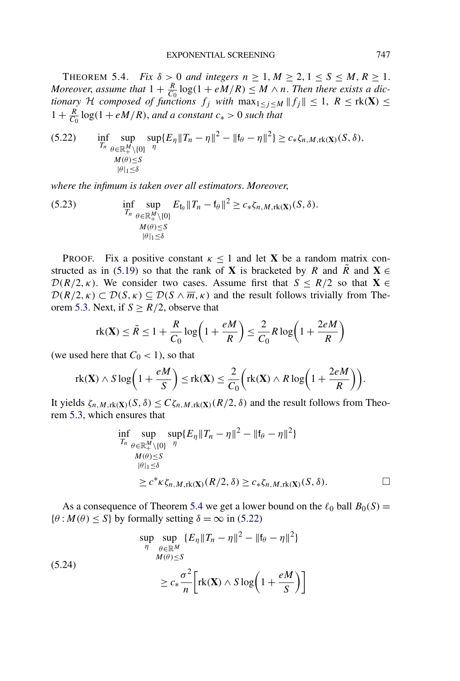<span id="page-16-0"></span>THEOREM 5.4. *Fix*  $\delta > 0$  *and integers*  $n \geq 1, M \geq 2, 1 \leq S \leq M, R \geq 1$ . *Moreover, assume that*  $1 + \frac{R}{C_0} \log(1 + eM/R) \leq M \wedge n$ . *Then there exists a dictionary* H *composed of functions*  $f_j$  *with*  $\max_{1 \le j \le M} ||f_j|| \le 1$ ,  $R \le \text{rk}(\mathbf{X}) \le$  $1 + \frac{R}{C_0} \log(1 + eM/R)$ , *and a constant*  $c_* > 0$  *such that* 

(5.22) 
$$
\inf_{T_n} \sup_{\substack{\theta \in \mathbb{R}_+^M \setminus \{0\} \\ M(\theta) \le S}} \sup_{\eta} \{ E_\eta \| T_n - \eta \|^2 - \| f_\theta - \eta \|^2 \} \ge c_* \zeta_{n,M,\mathrm{rk}(X)}(S,\delta),
$$

*where the infimum is taken over all estimators*. *Moreover*,

(5.23) 
$$
\inf_{T_n} \sup_{\substack{\theta \in \mathbb{R}_+^M \setminus \{0\} \\ M(\theta) \le S}} E_{f_\theta} || T_n - f_\theta ||^2 \ge c_* \zeta_{n,M,\text{rk}}(\mathbf{x})(S,\delta).
$$

**PROOF.** Fix a positive constant  $\kappa \leq 1$  and let **X** be a random matrix con-structed as in [\(5.19\)](#page-15-0) so that the rank of **X** is bracketed by *R* and *R* and **X** ∈  $\mathcal{D}(R/2, \kappa)$ . We consider two cases. Assume first that *S*  $\leq R/2$  so that **X**  $\in$  $\mathcal{D}(R/2, \kappa) \subset \mathcal{D}(S, \kappa) \subseteq \mathcal{D}(S \wedge \overline{m}, \kappa)$  and the result follows trivially from The-orem [5.3.](#page-14-0) Next, if  $S \ge R/2$ , observe that

$$
rk(\mathbf{X}) \le \tilde{R} \le 1 + \frac{R}{C_0} \log \left( 1 + \frac{eM}{R} \right) \le \frac{2}{C_0} R \log \left( 1 + \frac{2eM}{R} \right)
$$

(we used here that  $C_0 < 1$ ), so that

$$
rk(\mathbf{X}) \wedge S \log \bigg(1 + \frac{eM}{S}\bigg) \leq rk(\mathbf{X}) \leq \frac{2}{C_0} \bigg(rk(\mathbf{X}) \wedge R \log \bigg(1 + \frac{2eM}{R}\bigg)\bigg).
$$

It yields  $\zeta_{n,M,\text{rk}}(\mathbf{X})$ (S,  $\delta$ )  $\leq C\zeta_{n,M,\text{rk}}(\mathbf{X})$  (R/2,  $\delta$ ) and the result follows from Theorem [5.3,](#page-14-0) which ensures that

$$
\inf_{T_n} \sup_{\theta \in \mathbb{R}_+^M \setminus \{0\}} \sup_{\eta} \{E_{\eta} ||T_n - \eta||^2 - ||f_{\theta} - \eta||^2\}
$$
\n
$$
\lim_{\substack{M(\theta) \le S \\ |\theta|_1 \le \delta}} \le c^* \kappa \zeta_{n,M,\text{rk}}(\mathbf{X}) (R/2, \delta) \ge c_* \zeta_{n,M,\text{rk}}(\mathbf{X}) (S, \delta).
$$

As a consequence of Theorem 5.4 we get a lower bound on the  $\ell_0$  ball  $B_0(S)$  =  $\{\theta : M(\theta) \le S\}$  by formally setting  $\delta = \infty$  in (5.22)

$$
\sup_{\eta} \sup_{\theta \in \mathbb{R}^M \atop M(\theta) \le S} \{E_{\eta} ||T_n - \eta||^2 - ||f_{\theta} - \eta||^2\}
$$
\n
$$
\ge c_* \frac{\sigma^2}{n} \Big[ \text{rk}(\mathbf{X}) \wedge S \log \Big(1 + \frac{eM}{S}\Big) \Big]
$$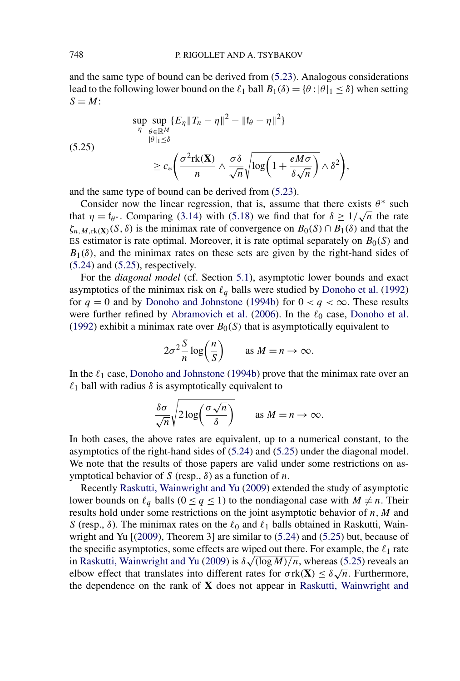<span id="page-17-0"></span>and the same type of bound can be derived from [\(5.23\)](#page-16-0). Analogous considerations lead to the following lower bound on the  $\ell_1$  ball  $B_1(\delta) = {\theta : |\theta|_1 \leq \delta}$  when setting  $S = M$ :

$$
\sup_{\eta} \sup_{\theta \in \mathbb{R}^M} \{E_{\eta} \|T_n - \eta\|^2 - \|f_{\theta} - \eta\|^2 \}
$$
\n(5.25)\n
$$
\geq c_* \left( \frac{\sigma^2 \text{rk}(\mathbf{X})}{n} \wedge \frac{\sigma \delta}{\sqrt{n}} \sqrt{\log \left( 1 + \frac{eM\sigma}{\delta \sqrt{n}} \right)} \wedge \delta^2 \right),
$$
\nand the same time of bound can be derived from (5.23).

and the same type of bound can be derived from [\(5.23\)](#page-16-0).

Consider now the linear regression, that is, assume that there exists  $\theta^*$  such Consider now the inear regression, that is, assume that there exists  $\theta$  such that  $\eta = f_{\theta^*}$ . Comparing [\(3.14\)](#page-6-0) with [\(5.18\)](#page-14-0) we find that for  $\delta \ge 1/\sqrt{n}$  the rate  $\zeta_{n,M,\text{rk}}(\mathbf{X})(S,\delta)$  is the minimax rate of convergence on  $B_0(S) \cap B_1(\delta)$  and that the ES estimator is rate optimal. Moreover, it is rate optimal separately on  $B_0(S)$  and  $B_1(\delta)$ , and the minimax rates on these sets are given by the right-hand sides of  $(5.24)$  and  $(5.25)$ , respectively.

For the *diagonal model* (cf. Section [5.1\)](#page-9-0), asymptotic lower bounds and exact asymptotics of the minimax risk on  $\ell_q$  balls were studied by [Donoho et al.](#page-39-0) [\(1992\)](#page-39-0) for  $q = 0$  and by [Donoho and Johnstone](#page-38-0) [\(1994b\)](#page-38-0) for  $0 < q < \infty$ . These results were further refined by [Abramovich et al.](#page-38-0)  $(2006)$ . In the  $\ell_0$  case, [Donoho et al.](#page-39-0) [\(1992\)](#page-39-0) exhibit a minimax rate over  $B_0(S)$  that is asymptotically equivalent to

$$
2\sigma^2 \frac{S}{n} \log\left(\frac{n}{S}\right) \qquad \text{as } M = n \to \infty.
$$

In the  $\ell_1$  case, [Donoho and Johnstone](#page-38-0) [\(1994b\)](#page-38-0) prove that the minimax rate over an  $\ell_1$  ball with radius  $\delta$  is asymptotically equivalent to

$$
\frac{\delta \sigma}{\sqrt{n}} \sqrt{2 \log \left( \frac{\sigma \sqrt{n}}{\delta} \right)}
$$
 as  $M = n \to \infty$ .

In both cases, the above rates are equivalent, up to a numerical constant, to the asymptotics of the right-hand sides of [\(5.24\)](#page-16-0) and (5.25) under the diagonal model. We note that the results of those papers are valid under some restrictions on asymptotical behavior of *S* (resp.,  $\delta$ ) as a function of *n*.

Recently [Raskutti, Wainwright and Yu](#page-39-0) [\(2009\)](#page-39-0) extended the study of asymptotic lower bounds on  $\ell_q$  balls ( $0 \le q \le 1$ ) to the nondiagonal case with  $M \ne n$ . Their results hold under some restrictions on the joint asymptotic behavior of  $n$ ,  $M$  and *S* (resp.,  $\delta$ ). The minimax rates on the  $\ell_0$  and  $\ell_1$  balls obtained in Raskutti, Wainwright and Yu [[\(2009\)](#page-39-0), Theorem 3] are similar to [\(5.24\)](#page-16-0) and (5.25) but, because of the specific asymptotics, some effects are wiped out there. For example, the  $\ell_1$  rate in [Raskutti, Wainwright and Yu](#page-39-0) [\(2009\)](#page-39-0) is *δ* <sup>√</sup>*(*log*M)/n*, whereas (5.25) reveals an In Raskutti, wantwright and *τ*u (2009) is *δ* $\sqrt{(\log M)/n}$ , whereas (3.25) reveats an elbow effect that translates into different rates for *σ* rk(**X**) ≤ *δ* $\sqrt{n}$ . Furthermore, the dependence on the rank of **X** does not appear in [Raskutti, Wainwright and](#page-39-0)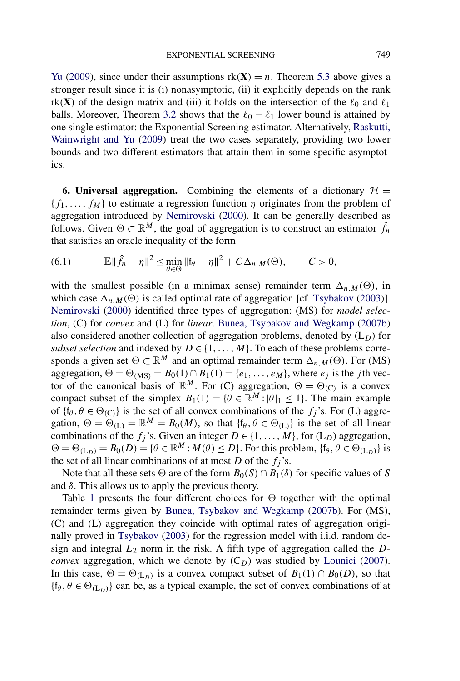<span id="page-18-0"></span>[Yu](#page-39-0) [\(2009\)](#page-39-0), since under their assumptions  $rk(X) = n$ . Theorem [5.3](#page-14-0) above gives a stronger result since it is (i) nonasymptotic, (ii) it explicitly depends on the rank rk(**X**) of the design matrix and (iii) it holds on the intersection of the  $\ell_0$  and  $\ell_1$ balls. Moreover, Theorem [3.2](#page-6-0) shows that the  $\ell_0 - \ell_1$  lower bound is attained by one single estimator: the Exponential Screening estimator. Alternatively, [Raskutti,](#page-39-0) [Wainwright and Yu](#page-39-0) [\(2009\)](#page-39-0) treat the two cases separately, providing two lower bounds and two different estimators that attain them in some specific asymptotics.

**6. Universal aggregation.** Combining the elements of a dictionary  $H =$ {*f*1*,...,fM*} to estimate a regression function *η* originates from the problem of aggregation introduced by [Nemirovski](#page-39-0) [\(2000\)](#page-39-0). It can be generally described as follows. Given  $\Theta \subset \mathbb{R}^M$ , the goal of aggregation is to construct an estimator  $\hat{f}_n$ that satisfies an oracle inequality of the form

(6.1) 
$$
\mathbb{E} \|\hat{f}_n - \eta\|^2 \leq \min_{\theta \in \Theta} \|f_\theta - \eta\|^2 + C \Delta_{n,M}(\Theta), \qquad C > 0,
$$

with the smallest possible (in a minimax sense) remainder term  $\Delta_{n,M}(\Theta)$ , in which case  $\Delta_{n,M}(\Theta)$  is called optimal rate of aggregation [cf. [Tsybakov](#page-39-0) [\(2003\)](#page-39-0)]. [Nemirovski](#page-39-0) [\(2000\)](#page-39-0) identified three types of aggregation: (MS) for *model selection*, (C) for *convex* and (L) for *linear*. [Bunea, Tsybakov and Wegkamp](#page-38-0) [\(2007b\)](#page-38-0) also considered another collection of aggregation problems, denoted by (L*D*) for *subset selection* and indexed by  $D \in \{1, ..., M\}$ . To each of these problems corresponds a given set  $\Theta \subset \mathbb{R}^M$  and an optimal remainder term  $\Delta_{n,M}(\Theta)$ . For (MS) aggregation,  $\Theta = \Theta_{\text{(MS)}} = B_0(1) \cap B_1(1) = \{e_1, \ldots, e_M\}$ , where  $e_j$  is the *j*th vector of the canonical basis of  $\mathbb{R}^M$ . For (C) aggregation,  $\Theta = \Theta_{(C)}$  is a convex compact subset of the simplex  $B_1(1) = \{ \theta \in \mathbb{R}^M : |\theta|_1 \leq 1 \}$ . The main example of  $\{f_\theta, \theta \in \Theta_{(C)}\}$  is the set of all convex combinations of the  $f_i$ 's. For (L) aggregation,  $\Theta = \Theta_{(L)} = \mathbb{R}^M = B_0(M)$ , so that  $\{f_\theta, \theta \in \Theta_{(L)}\}$  is the set of all linear combinations of the *f<sub>j</sub>*'s. Given an integer  $D \in \{1, ..., M\}$ , for  $(L_D)$  aggregation,  $\Theta = \Theta_{(L_D)} = B_0(D) = {\theta \in \mathbb{R}^M : M(\theta) \leq D}$ . For this problem,  ${\{\mathfrak{f}_{\theta}, \theta \in \Theta_{(L_D)}\}}$  is the set of all linear combinations of at most *D* of the  $f_i$ 's.

Note that all these sets  $\Theta$  are of the form  $B_0(S) \cap B_1(\delta)$  for specific values of *S* and  $\delta$ . This allows us to apply the previous theory.

Table [1](#page-19-0) presents the four different choices for  $\Theta$  together with the optimal remainder terms given by [Bunea, Tsybakov and Wegkamp](#page-38-0) [\(2007b\)](#page-38-0). For (MS), (C) and (L) aggregation they coincide with optimal rates of aggregation originally proved in [Tsybakov](#page-39-0) [\(2003\)](#page-39-0) for the regression model with i.i.d. random design and integral *L*<sup>2</sup> norm in the risk. A fifth type of aggregation called the *Dconvex* aggregation, which we denote by  $(C_D)$  was studied by [Lounici](#page-39-0) [\(2007\)](#page-39-0). In this case,  $\Theta = \Theta_{(L_p)}$  is a convex compact subset of  $B_1(1) \cap B_0(D)$ , so that  ${f_{\theta}, \theta \in \Theta_{(L_n)}}$  can be, as a typical example, the set of convex combinations of at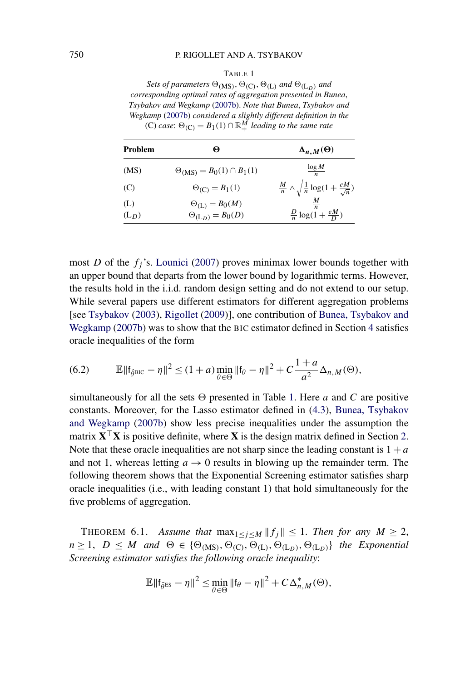#### TABLE 1

<span id="page-19-0"></span>*Sets of parameters*  $\Theta_{(MS)}, \Theta_{(C)}, \Theta_{(L)}$  *and*  $\Theta_{(L_D)}$  *and corresponding optimal rates of aggregation presented in Bunea*, *Tsybakov and Wegkamp* [\(2007b\)](#page-38-0). *Note that Bunea*, *Tsybakov and Wegkamp* [\(2007b\)](#page-38-0) *considered a slightly different definition in the*  $(C)$  *case*:  $\Theta$ <sub>(C)</sub> =  $B_1(1) \cap \mathbb{R}$ <sup>*M*</sup><sub>+</sub> *leading to the same rate* 

| <b>Problem</b> | Θ                                    | $\Delta_{n,M}(\Theta)$                                                |
|----------------|--------------------------------------|-----------------------------------------------------------------------|
| (MS)           | $\Theta_{(MS)} = B_0(1) \cap B_1(1)$ | $\log M$                                                              |
| (C)            | $\Theta_{\text{(C)}} = B_1(1)$       | $\frac{M}{n} \wedge \sqrt{\frac{1}{n} \log(1 + \frac{eM}{\sqrt{n}})}$ |
| (L)            | $\Theta_{(L)} = B_0(M)$              | <u>M</u>                                                              |
| $(L_D)$        | $\Theta(\mathsf{L}_D) = B_0(D)$      | $\frac{D}{n} \log(1 + \frac{eM}{D})$                                  |

most *D* of the  $f_j$ 's. [Lounici](#page-39-0) [\(2007\)](#page-39-0) proves minimax lower bounds together with an upper bound that departs from the lower bound by logarithmic terms. However, the results hold in the i.i.d. random design setting and do not extend to our setup. While several papers use different estimators for different aggregation problems [see [Tsybakov](#page-39-0) [\(2003\)](#page-39-0), [Rigollet](#page-39-0) [\(2009\)](#page-39-0)], one contribution of [Bunea, Tsybakov and](#page-38-0) [Wegkamp](#page-38-0) [\(2007b\)](#page-38-0) was to show that the BIC estimator defined in Section [4](#page-7-0) satisfies oracle inequalities of the form

(6.2) 
$$
\mathbb{E} \|f_{\hat{\theta}^{BIC}} - \eta\|^2 \le (1+a) \min_{\theta \in \Theta} \|f_{\theta} - \eta\|^2 + C \frac{1+a}{a^2} \Delta_{n,M}(\Theta),
$$

simultaneously for all the sets  $\Theta$  presented in Table 1. Here *a* and *C* are positive constants. Moreover, for the Lasso estimator defined in [\(4.3\)](#page-7-0), [Bunea, Tsybakov](#page-38-0) [and Wegkamp](#page-38-0) [\(2007b\)](#page-38-0) show less precise inequalities under the assumption the matrix  $X^{\top}X$  is positive definite, where X is the design matrix defined in Section [2.](#page-2-0) Note that these oracle inequalities are not sharp since the leading constant is  $1 + a$ and not 1, whereas letting  $a \rightarrow 0$  results in blowing up the remainder term. The following theorem shows that the Exponential Screening estimator satisfies sharp oracle inequalities (i.e., with leading constant 1) that hold simultaneously for the five problems of aggregation.

THEOREM 6.1. Assume that  $\max_{1 \leq j \leq M} ||f_j|| \leq 1$ . Then for any  $M \geq 2$ ,  $n \geq 1$ ,  $D \leq M$  *and*  $\Theta \in {\Theta_{(MS)}}, {\Theta_{(C)}}, {\Theta_{(L)}}, {\Theta_{(L_D)}}, {\Theta_{(L_D)}}$  *the Exponential Screening estimator satisfies the following oracle inequality*:

$$
\mathbb{E} \|\mathsf{f}_{\tilde{\theta}^{\text{ES}}} - \eta\|^2 \le \min_{\theta \in \Theta} \|\mathsf{f}_{\theta} - \eta\|^2 + C\Delta_{n,M}^*(\Theta),
$$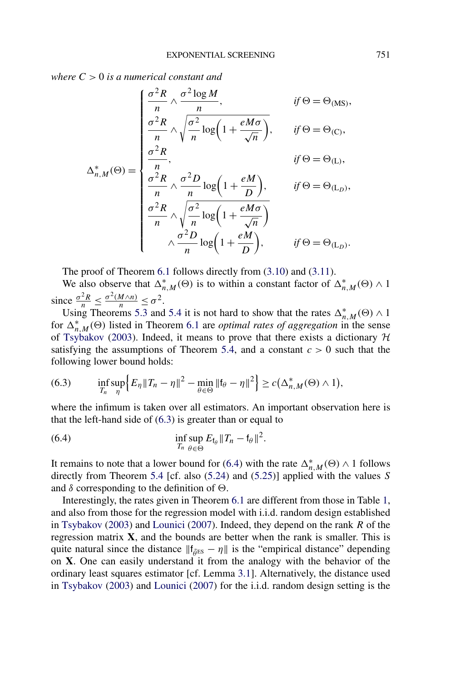*where C >* 0 *is a numerical constant and*

$$
\Delta_{n,M}^{*}(\Theta) = \begin{cases}\n\frac{\sigma^{2}R}{n} \wedge \frac{\sigma^{2}\log M}{n}, & \text{if } \Theta = \Theta_{(MS)}, \\
\frac{\sigma^{2}R}{n} \wedge \sqrt{\frac{\sigma^{2}}{n}\log\left(1 + \frac{eM\sigma}{\sqrt{n}}\right)}, & \text{if } \Theta = \Theta_{(C)}, \\
\frac{\sigma^{2}R}{n}, & \text{if } \Theta = \Theta_{(L)}, \\
\frac{\sigma^{2}R}{n} \wedge \frac{\sigma^{2}D}{n}\log\left(1 + \frac{eM}{D}\right), & \text{if } \Theta = \Theta_{(L_{D})}, \\
\frac{\sigma^{2}R}{n} \wedge \sqrt{\frac{\sigma^{2}}{n}\log\left(1 + \frac{eM\sigma}{\sqrt{n}}\right)} \\
\wedge \frac{\sigma^{2}D}{n}\log\left(1 + \frac{eM}{D}\right), & \text{if } \Theta = \Theta_{(L_{D})}.\n\end{cases}
$$

The proof of Theorem [6.1](#page-19-0) follows directly from [\(3.10\)](#page-6-0) and [\(3.11\)](#page-6-0).

We also observe that  $\Delta_{n,M}^*(\Theta)$  is to within a constant factor of  $\Delta_{n,M}^*(\Theta) \wedge 1$  $\frac{\sigma^2 R}{n} \leq \frac{\sigma^2 (M \wedge n)}{n} \leq \sigma^2$ .

Using Theorems [5.3](#page-14-0) and [5.4](#page-16-0) it is not hard to show that the rates  $\Delta_{n,M}^*(\Theta) \wedge 1$ for  $\Delta_{n,M}^*(\Theta)$  listed in Theorem [6.1](#page-19-0) are *optimal rates of aggregation* in the sense of [Tsybakov](#page-39-0) [\(2003\)](#page-39-0). Indeed, it means to prove that there exists a dictionary  $H$ satisfying the assumptions of Theorem [5.4,](#page-16-0) and a constant  $c > 0$  such that the following lower bound holds:

(6.3) 
$$
\inf_{T_n} \sup_{\eta} \Bigl\{ E_{\eta} ||T_n - \eta||^2 - \min_{\theta \in \Theta} ||f_{\theta} - \eta||^2 \Bigr\} \geq c(\Delta_{n,M}^*(\Theta) \wedge 1),
$$

where the infimum is taken over all estimators. An important observation here is that the left-hand side of (6.3) is greater than or equal to

(6.4) 
$$
\inf_{T_n} \sup_{\theta \in \Theta} E_{\mathfrak{f}_{\theta}} || T_n - \mathfrak{f}_{\theta} ||^2.
$$

It remains to note that a lower bound for (6.4) with the rate  $\Delta_{n,M}^*(\Theta) \wedge 1$  follows directly from Theorem [5.4](#page-16-0) [cf. also [\(5.24\)](#page-16-0) and [\(5.25\)](#page-17-0)] applied with the values *S* and  $\delta$  corresponding to the definition of  $\Theta$ .

Interestingly, the rates given in Theorem [6.1](#page-19-0) are different from those in Table [1,](#page-19-0) and also from those for the regression model with i.i.d. random design established in [Tsybakov](#page-39-0) [\(2003\)](#page-39-0) and [Lounici](#page-39-0) [\(2007\)](#page-39-0). Indeed, they depend on the rank *R* of the regression matrix **X**, and the bounds are better when the rank is smaller. This is quite natural since the distance  $||f_{\hat{\theta}^{ES}} - \eta||$  is the "empirical distance" depending on **X**. One can easily understand it from the analogy with the behavior of the ordinary least squares estimator [cf. Lemma [3.1\]](#page-3-0). Alternatively, the distance used in [Tsybakov](#page-39-0) [\(2003\)](#page-39-0) and [Lounici](#page-39-0) [\(2007\)](#page-39-0) for the i.i.d. random design setting is the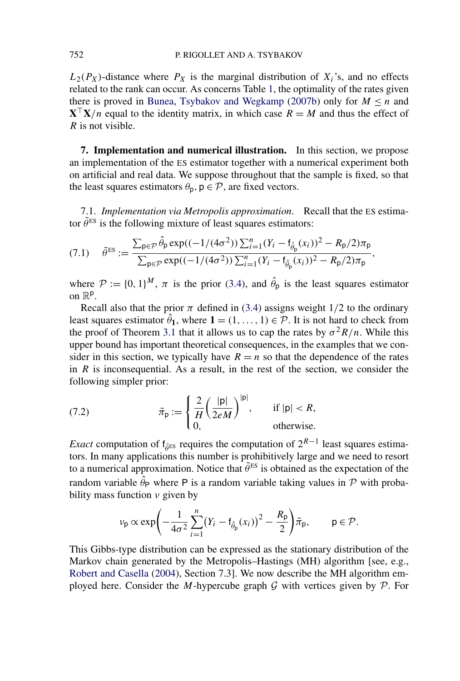$L_2(P_X)$ -distance where  $P_X$  is the marginal distribution of  $X_i$ 's, and no effects related to the rank can occur. As concerns Table [1,](#page-19-0) the optimality of the rates given there is proved in [Bunea, Tsybakov and Wegkamp](#page-38-0) [\(2007b\)](#page-38-0) only for  $M \le n$  and  $X^{\top}X/n$  equal to the identity matrix, in which case  $R = M$  and thus the effect of *R* is not visible.

**7. Implementation and numerical illustration.** In this section, we propose an implementation of the ES estimator together with a numerical experiment both on artificial and real data. We suppose throughout that the sample is fixed, so that the least squares estimators  $\theta_p$ ,  $p \in \mathcal{P}$ , are fixed vectors.

7.1. *Implementation via Metropolis approximation*. Recall that the ES estimator  $\tilde{\theta}^{ES}$  is the following mixture of least squares estimators:

$$
(7.1) \quad \tilde{\theta}^{\text{ES}} := \frac{\sum_{\mathsf{p}\in\mathcal{P}} \hat{\theta}_{\mathsf{p}} \exp((-1/(4\sigma^2)) \sum_{i=1}^n (Y_i - \mathsf{f}_{\hat{\theta}_{\mathsf{p}}}(x_i))^2 - R_{\mathsf{p}}/2)\pi_{\mathsf{p}}}{\sum_{\mathsf{p}\in\mathcal{P}} \exp((-1/(4\sigma^2)) \sum_{i=1}^n (Y_i - \mathsf{f}_{\hat{\theta}_{\mathsf{p}}}(x_i))^2 - R_{\mathsf{p}}/2)\pi_{\mathsf{p}}},
$$

where  $P := \{0, 1\}^M$ ,  $\pi$  is the prior [\(3.4\)](#page-4-0), and  $\hat{\theta}_p$  is the least squares estimator on  $\mathbb{R}^p$ .

Recall also that the prior  $\pi$  defined in [\(3.4\)](#page-4-0) assigns weight  $1/2$  to the ordinary least squares estimator  $\hat{\theta}_1$ , where  $\mathbf{1} = (1, \ldots, 1) \in \mathcal{P}$ . It is not hard to check from the proof of Theorem [3.1](#page-5-0) that it allows us to cap the rates by  $\sigma^2 R/n$ . While this upper bound has important theoretical consequences, in the examples that we consider in this section, we typically have  $R = n$  so that the dependence of the rates in *R* is inconsequential. As a result, in the rest of the section, we consider the following simpler prior:

(7.2) 
$$
\tilde{\pi}_{p} := \begin{cases} \frac{2}{H} \left( \frac{|p|}{2eM} \right)^{|p|}, & \text{if } |p| < R, \\ 0, & \text{otherwise.} \end{cases}
$$

*Exact* computation of  $f_{\tilde{\theta}^{ES}}$  requires the computation of  $2^{R-1}$  least squares estimators. In many applications this number is prohibitively large and we need to resort to a numerical approximation. Notice that  $\tilde{\theta}^{ES}$  is obtained as the expectation of the random variable  $\hat{\theta}_P$  where P is a random variable taking values in P with probability mass function *ν* given by

$$
\nu_{\mathsf{p}} \propto \exp\left(-\frac{1}{4\sigma^2} \sum_{i=1}^n (Y_i - \mathsf{f}_{\hat{\theta}_{\mathsf{p}}}(x_i))^2 - \frac{R_{\mathsf{p}}}{2}\right) \tilde{\pi}_{\mathsf{p}}, \qquad \mathsf{p} \in \mathcal{P}.
$$

This Gibbs-type distribution can be expressed as the stationary distribution of the Markov chain generated by the Metropolis–Hastings (MH) algorithm [see, e.g., [Robert and Casella](#page-39-0) [\(2004\)](#page-39-0), Section 7.3]. We now describe the MH algorithm employed here. Consider the *M*-hypercube graph G with vertices given by  $P$ . For

<span id="page-21-0"></span>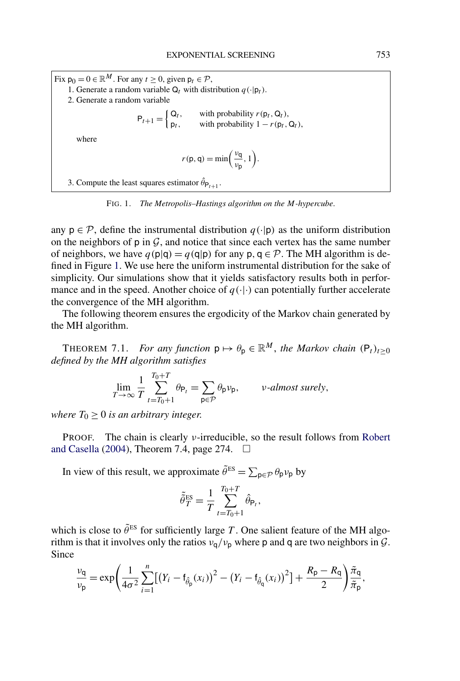Fix  $p_0 = 0 \in \mathbb{R}^M$ . For any  $t \ge 0$ , given  $p_t \in \mathcal{P}$ , 1. Generate a random variable  $Q_t$  with distribution  $q(\cdot|\mathsf{p}_t)$ . 2. Generate a random variable  $P_{t+1} = \begin{cases} Q_t, & \text{with probability } r(p_t, Q_t), \\ n, & \text{with probability } 1 - r(p_t) \end{cases}$  $p_t$ , with probability  $1 - r(p_t, Q_t)$ , where  $r(p, q) = \min\left(\frac{v_q}{q}\right)$  $\frac{\nu_{\mathbf{q}}}{\nu_{\mathbf{p}}}, 1$ . 3. Compute the least squares estimator  $\hat{\theta}_{P_{t+1}}$ .

FIG. 1. *The Metropolis–Hastings algorithm on the M-hypercube*.

any  $p \in \mathcal{P}$ , define the instrumental distribution  $q(\cdot|p)$  as the uniform distribution on the neighbors of  $p$  in  $G$ , and notice that since each vertex has the same number of neighbors, we have  $q(\mathsf{p}|\mathsf{q}) = q(\mathsf{q}|\mathsf{p})$  for any  $\mathsf{p}, \mathsf{q} \in \mathcal{P}$ . The MH algorithm is defined in Figure 1. We use here the uniform instrumental distribution for the sake of simplicity. Our simulations show that it yields satisfactory results both in performance and in the speed. Another choice of  $q(\cdot|\cdot)$  can potentially further accelerate the convergence of the MH algorithm.

The following theorem ensures the ergodicity of the Markov chain generated by the MH algorithm.

THEOREM 7.1. *For any function*  $p \mapsto \theta_p \in \mathbb{R}^M$ , the Markov chain  $(P_t)_{t \geq 0}$ *defined by the MH algorithm satisfies*

$$
\lim_{T \to \infty} \frac{1}{T} \sum_{t=T_0+1}^{T_0+T} \theta_{\mathsf{P}_t} = \sum_{\mathsf{p} \in \mathcal{P}} \theta_{\mathsf{p}} \nu_{\mathsf{p}}, \qquad \nu\text{-almost surely},
$$

*where*  $T_0 \geq 0$  *is an arbitrary integer.* 

PROOF. The chain is clearly *ν*-irreducible, so the result follows from [Robert](#page-39-0) [and Casella](#page-39-0) [\(2004\)](#page-39-0), Theorem 7.4, page 274.  $\Box$ 

In view of this result, we approximate  $\tilde{\theta}^{ES} = \sum_{p \in \mathcal{P}} \theta_p v_p$  by

$$
\tilde{\tilde{\theta}}_T^{\text{ES}} = \frac{1}{T} \sum_{t=T_0+1}^{T_0+T} \hat{\theta}_{\mathsf{P}_t},
$$

which is close to  $\tilde{\theta}^{ES}$  for sufficiently large *T*. One salient feature of the MH algorithm is that it involves only the ratios  $v_q/v_p$  where p and q are two neighbors in  $\mathcal{G}$ . Since

$$
\frac{\nu_{\mathbf{q}}}{\nu_{\mathbf{p}}} = \exp\left(\frac{1}{4\sigma^2} \sum_{i=1}^n \left[ \left(Y_i - \mathbf{f}_{\hat{\theta}_{\mathbf{p}}}(x_i)\right)^2 - \left(Y_i - \mathbf{f}_{\hat{\theta}_{\mathbf{q}}}(x_i)\right)^2 \right] + \frac{R_{\mathbf{p}} - R_{\mathbf{q}}}{2} \right) \frac{\tilde{\pi}_{\mathbf{q}}}{\tilde{\pi}_{\mathbf{p}}},
$$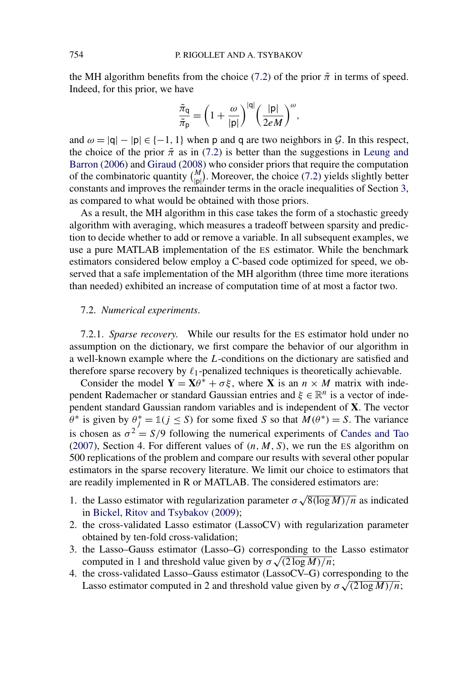the MH algorithm benefits from the choice [\(7.2\)](#page-21-0) of the prior  $\tilde{\pi}$  in terms of speed. Indeed, for this prior, we have

$$
\frac{\tilde{\pi}_{\mathbf{q}}}{\tilde{\pi}_{\mathbf{p}}} = \left(1 + \frac{\omega}{|\mathbf{p}|}\right)^{|\mathbf{q}|} \left(\frac{|\mathbf{p}|}{2eM}\right)^{\omega},
$$

and  $\omega = |q| - |p| \in \{-1, 1\}$  when p and q are two neighbors in G. In this respect, the choice of the prior  $\tilde{\pi}$  as in [\(7.2\)](#page-21-0) is better than the suggestions in [Leung and](#page-39-0) [Barron](#page-39-0) [\(2006\)](#page-39-0) and [Giraud](#page-39-0) [\(2008\)](#page-39-0) who consider priors that require the computation of the combinatoric quantity  $\binom{M}{|p|}$ . Moreover, the choice [\(7.2\)](#page-21-0) yields slightly better constants and improves the remainder terms in the oracle inequalities of Section [3,](#page-3-0) as compared to what would be obtained with those priors.

As a result, the MH algorithm in this case takes the form of a stochastic greedy algorithm with averaging, which measures a tradeoff between sparsity and prediction to decide whether to add or remove a variable. In all subsequent examples, we use a pure MATLAB implementation of the ES estimator. While the benchmark estimators considered below employ a C-based code optimized for speed, we observed that a safe implementation of the MH algorithm (three time more iterations than needed) exhibited an increase of computation time of at most a factor two.

### 7.2. *Numerical experiments*.

7.2.1. *Sparse recovery*. While our results for the ES estimator hold under no assumption on the dictionary, we first compare the behavior of our algorithm in a well-known example where the *L*-conditions on the dictionary are satisfied and therefore sparse recovery by  $\ell_1$ -penalized techniques is theoretically achievable.

Consider the model  $Y = X\theta^* + \sigma\xi$ , where X is an  $n \times M$  matrix with independent Rademacher or standard Gaussian entries and *ξ* ∈  $\mathbb{R}^n$  is a vector of independent standard Gaussian random variables and is independent of **X**. The vector  $\hat{\theta}^*$  is given by  $\theta_j^* = \mathbb{1}(j \leq S)$  for some fixed *S* so that  $\hat{M}(\theta^*) = S$ . The variance is chosen as  $\sigma^2 = S/9$  following the numerical experiments of [Candes and Tao](#page-38-0) [\(2007\)](#page-38-0), Section 4. For different values of  $(n, M, S)$ , we run the ES algorithm on 500 replications of the problem and compare our results with several other popular estimators in the sparse recovery literature. We limit our choice to estimators that are readily implemented in R or MATLAB. The considered estimators are:

- 1. the Lasso estimator with regularization parameter  $\sigma \sqrt{8(\log M)/n}$  as indicated in [Bickel, Ritov and Tsybakov](#page-38-0) [\(2009\)](#page-38-0);
- 2. the cross-validated Lasso estimator (LassoCV) with regularization parameter obtained by ten-fold cross-validation;
- 3. the Lasso–Gauss estimator (Lasso–G) corresponding to the Lasso estimator  $\alpha$  Lasso–Gauss esumator (Lasso–G) corresponding to the computed in 1 and threshold value given by  $\sigma \sqrt{(2 \log M)/n}$ ;
- 4. the cross-validated Lasso–Gauss estimator (LassoCV–G) corresponding to the Lasso estimator computed in 2 and threshold value given by *σ* <sup>√</sup>*(*2 log*M)/n*;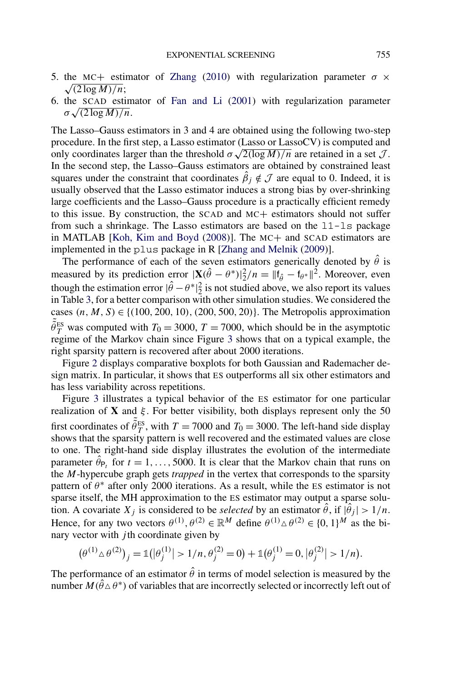- 5. the MC+ estimator of [Zhang](#page-39-0) [\(2010\)](#page-39-0) with regularization parameter  $\sigma \times$  $\sqrt{(2 \log M)/n}$ ;
- 6. the SCAD estimator of [Fan and Li](#page-39-0) [\(2001\)](#page-39-0) with regularization parameter  $σ$   $\sqrt{(2 \log M)/n}$ .

The Lasso–Gauss estimators in 3 and 4 are obtained using the following two-step procedure. In the first step, a Lasso estimator (Lasso or LassoCV) is computed and procedure. In the first step, a Lasso estimator (Lasso or LassoC v) is computed and<br>only coordinates larger than the threshold  $\sigma \sqrt{2(\log M)/n}$  are retained in a set  $\mathcal{J}$ . In the second step, the Lasso–Gauss estimators are obtained by constrained least squares under the constraint that coordinates  $\hat{\beta}_j \notin \mathcal{J}$  are equal to 0. Indeed, it is usually observed that the Lasso estimator induces a strong bias by over-shrinking large coefficients and the Lasso–Gauss procedure is a practically efficient remedy to this issue. By construction, the SCAD and MC+ estimators should not suffer from such a shrinkage. The Lasso estimators are based on the l1-ls package in MATLAB [\[Koh, Kim and Boyd](#page-39-0) [\(2008\)](#page-39-0)]. The MC+ and SCAD estimators are implemented in the plus package in R [\[Zhang and Melnik](#page-40-0) [\(2009\)](#page-40-0)].

The performance of each of the seven estimators generically denoted by  $\hat{\theta}$  is measured by its prediction error  $|\mathbf{X}(\hat{\theta} - \theta^*)|^2/2/n = ||\mathbf{f}_{\hat{\theta}} - \mathbf{f}_{\theta^*}||^2$ . Moreover, even though the estimation error  $|\hat{\theta} - \theta^*|_2^2$  is not studied above, we also report its values in Table [3,](#page-28-0) for a better comparison with other simulation studies. We considered the cases *(n,M,S)* ∈ {*(*100*,* 200*,* 10*),(*200*,* 500*,* 20*)*}. The Metropolis approximation  $\tilde{\hat{\theta}}_T^{\text{ES}}$  was computed with  $T_0 = 3000$ ,  $T = 7000$ , which should be in the asymptotic regime of the Markov chain since Figure [3](#page-25-0) shows that on a typical example, the right sparsity pattern is recovered after about 2000 iterations.

Figure [2](#page-25-0) displays comparative boxplots for both Gaussian and Rademacher design matrix. In particular, it shows that ES outperforms all six other estimators and has less variability across repetitions.

Figure [3](#page-25-0) illustrates a typical behavior of the ES estimator for one particular realization of **X** and  $\xi$ . For better visibility, both displays represent only the 50 first coordinates of  $\tilde{\tilde{\theta}}_T^{\text{ES}}$ , with  $T = 7000$  and  $T_0 = 3000$ . The left-hand side display shows that the sparsity pattern is well recovered and the estimated values are close to one. The right-hand side display illustrates the evolution of the intermediate parameter  $\hat{\theta}_{P_t}$  for  $t = 1, ..., 5000$ . It is clear that the Markov chain that runs on the *M*-hypercube graph gets *trapped* in the vertex that corresponds to the sparsity pattern of  $\theta^*$  after only 2000 iterations. As a result, while the ES estimator is not sparse itself, the MH approximation to the ES estimator may output a sparse solution. A covariate  $X_j$  is considered to be *selected* by an estimator  $\hat{\theta}$ , if  $|\hat{\theta}_j| > 1/n$ . Hence, for any two vectors  $\theta^{(1)}$ ,  $\theta^{(2)} \in \mathbb{R}^M$  define  $\theta^{(1)} \triangle \theta^{(2)} \in \{0, 1\}^M$  as the binary vector with *j* th coordinate given by

$$
(\theta^{(1)} \triangle \theta^{(2)})_j = \mathbb{1}(|\theta_j^{(1)}| > 1/n, \theta_j^{(2)} = 0) + \mathbb{1}(\theta_j^{(1)} = 0, |\theta_j^{(2)}| > 1/n).
$$

The performance of an estimator  $\hat{\theta}$  in terms of model selection is measured by the number  $M(\hat{\theta} \triangle \theta^*)$  of variables that are incorrectly selected or incorrectly left out of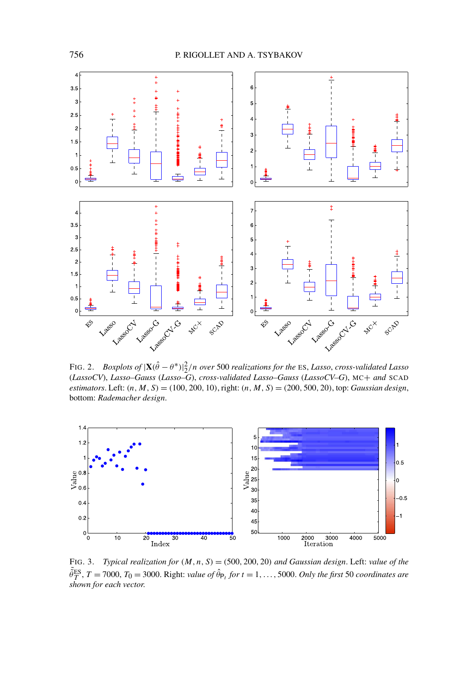<span id="page-25-0"></span>

FIG. 2. *Boxplots of*  $|\mathbf{X}(\hat{\theta} - \theta^*)|^2$  *n* over 500 *realizations for the* ES, *Lasso*, *cross-validated Lasso* (*LassoCV*), *Lasso–Gauss* (*Lasso–G*), *cross-validated Lasso–Gauss* (*LassoCV–G*), MC+ *and* SCAD *estimators*. Left: *(n,M,S)* = *(*100*,* 200*,* 10*)*, right: *(n,M,S)* = *(*200*,* 500*,* 20*)*, top: *Gaussian design*, bottom: *Rademacher design*.



FIG. 3. *Typical realization for (M,n,S)* = *(*500*,* 200*,* 20*) and Gaussian design*. Left: *value of the*  $\tilde{\hat{\theta}}_T^{\text{ES}}, T = 7000, T_0 = 3000$ . Right: *value of*  $\hat{\theta}_{\text{P}_t}$  *for*  $t = 1, ..., 5000$ . *Only the first* 50 *coordinates are shown for each vector*.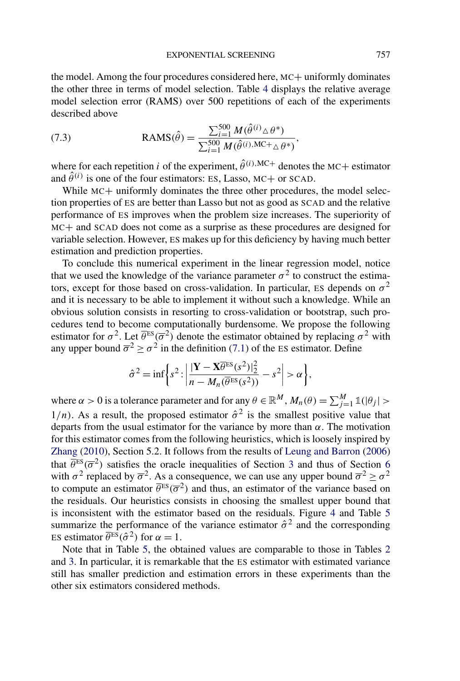<span id="page-26-0"></span>the model. Among the four procedures considered here, MC+ uniformly dominates the other three in terms of model selection. Table [4](#page-28-0) displays the relative average model selection error (RAMS) over 500 repetitions of each of the experiments described above

(7.3) 
$$
\text{RAMS}(\hat{\theta}) = \frac{\sum_{i=1}^{500} M(\hat{\theta}^{(i)} \Delta \theta^*)}{\sum_{i=1}^{500} M(\hat{\theta}^{(i)}, \text{MC} + \Delta \theta^*)},
$$

where for each repetition *i* of the experiment,  $\hat{\theta}^{(i),\text{MC+}}$  denotes the MC+ estimator and  $\hat{\theta}^{(i)}$  is one of the four estimators: ES, Lasso, MC+ or SCAD.

While MC+ uniformly dominates the three other procedures, the model selection properties of ES are better than Lasso but not as good as SCAD and the relative performance of ES improves when the problem size increases. The superiority of MC+ and SCAD does not come as a surprise as these procedures are designed for variable selection. However, ES makes up for this deficiency by having much better estimation and prediction properties.

To conclude this numerical experiment in the linear regression model, notice that we used the knowledge of the variance parameter  $\sigma^2$  to construct the estimators, except for those based on cross-validation. In particular, ES depends on  $\sigma^2$ and it is necessary to be able to implement it without such a knowledge. While an obvious solution consists in resorting to cross-validation or bootstrap, such procedures tend to become computationally burdensome. We propose the following estimator for  $\sigma^2$ . Let  $\overline{\theta}^{ES}(\overline{\sigma}^2)$  denote the estimator obtained by replacing  $\sigma^2$  with any upper bound  $\overline{\sigma}^2 > \sigma^2$  in the definition [\(7.1\)](#page-21-0) of the ES estimator. Define

$$
\hat{\sigma}^2 = \inf \left\{ s^2 : \left| \frac{|\mathbf{Y} - \mathbf{X} \overline{\theta}^{\text{ES}}(s^2)|_2^2}{n - M_n(\overline{\theta}^{\text{ES}}(s^2))} - s^2 \right| > \alpha \right\},\,
$$

where  $\alpha > 0$  is a tolerance parameter and for any  $\theta \in \mathbb{R}^M$ ,  $M_n(\theta) = \sum_{j=1}^M \mathbb{1}(|\theta_j| >$  $1/n$ ). As a result, the proposed estimator  $\hat{\sigma}^2$  is the smallest positive value that departs from the usual estimator for the variance by more than *α*. The motivation for this estimator comes from the following heuristics, which is loosely inspired by [Zhang](#page-39-0) [\(2010\)](#page-39-0), Section 5.2. It follows from the results of [Leung and Barron](#page-39-0) [\(2006\)](#page-39-0) that  $\bar{\theta}^{\text{ES}}(\bar{\sigma}^2)$  satisfies the oracle inequalities of Section [3](#page-3-0) and thus of Section [6](#page-18-0) with  $\sigma^2$  replaced by  $\overline{\sigma}^2$ . As a consequence, we can use any upper bound  $\overline{\sigma}^2 \ge \sigma^2$ to compute an estimator  $\overline{\theta}^{ES}(\overline{\sigma}^2)$  and thus, an estimator of the variance based on the residuals. Our heuristics consists in choosing the smallest upper bound that is inconsistent with the estimator based on the residuals. Figure [4](#page-27-0) and Table [5](#page-28-0) summarize the performance of the variance estimator  $\hat{\sigma}^2$  and the corresponding ES estimator  $\overline{\theta}^{\text{ES}}(\hat{\sigma}^2)$  for  $\alpha = 1$ .

Note that in Table [5,](#page-28-0) the obtained values are comparable to those in Tables [2](#page-27-0) and [3.](#page-28-0) In particular, it is remarkable that the ES estimator with estimated variance still has smaller prediction and estimation errors in these experiments than the other six estimators considered methods.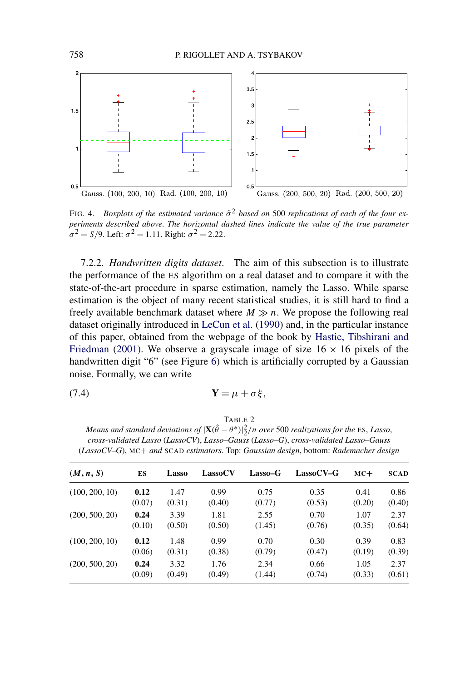<span id="page-27-0"></span>

FIG. 4. *Boxplots of the estimated variance*  $\hat{\sigma}^2$  *based on* 500 *replications of each of the four experiments described above*. *The horizontal dashed lines indicate the value of the true parameter*  $\sigma^2 = S/9$ . Left:  $\sigma^2 = 1.11$ . Right:  $\sigma^2 = 2.22$ .

7.2.2. *Handwritten digits dataset*. The aim of this subsection is to illustrate the performance of the ES algorithm on a real dataset and to compare it with the state-of-the-art procedure in sparse estimation, namely the Lasso. While sparse estimation is the object of many recent statistical studies, it is still hard to find a freely available benchmark dataset where  $M \gg n$ . We propose the following real dataset originally introduced in [LeCun et al.](#page-39-0) [\(1990\)](#page-39-0) and, in the particular instance of this paper, obtained from the webpage of the book by [Hastie, Tibshirani and](#page-39-0) [Friedman](#page-39-0) [\(2001\)](#page-39-0). We observe a grayscale image of size  $16 \times 16$  pixels of the handwritten digit "6" (see Figure [6\)](#page-29-0) which is artificially corrupted by a Gaussian noise. Formally, we can write

$$
Y = \mu + \sigma \xi,
$$

## TABLE 2

*Means and standard deviations of*  $|X(\hat{\theta} - \theta^*)|^2$  *(n over* 500 *realizations for the* ES, *Lasso*, *cross-validated Lasso* (*LassoCV*), *Lasso–Gauss* (*Lasso–G*), *cross-validated Lasso–Gauss* (*LassoCV–G*), MC+ *and* SCAD *estimators*. Top: *Gaussian design*, bottom: *Rademacher design*

| (M, n, S)      | ES     | Lasso  | <b>LassoCV</b> | Lasso-G | LassoCV-G | $MC+$  | <b>SCAD</b> |
|----------------|--------|--------|----------------|---------|-----------|--------|-------------|
| (100, 200, 10) | 0.12   | 1.47   | 0.99           | 0.75    | 0.35      | 0.41   | 0.86        |
|                | (0.07) | (0.31) | (0.40)         | (0.77)  | (0.53)    | (0.20) | (0.40)      |
| (200, 500, 20) | 0.24   | 3.39   | 1.81           | 2.55    | 0.70      | 1.07   | 2.37        |
|                | (0.10) | (0.50) | (0.50)         | (1.45)  | (0.76)    | (0.35) | (0.64)      |
| (100, 200, 10) | 0.12   | 1.48   | 0.99           | 0.70    | 0.30      | 0.39   | 0.83        |
|                | (0.06) | (0.31) | (0.38)         | (0.79)  | (0.47)    | (0.19) | (0.39)      |
| (200, 500, 20) | 0.24   | 3.32   | 1.76           | 2.34    | 0.66      | 1.05   | 2.37        |
|                | (0.09) | (0.49) | (0.49)         | (1.44)  | (0.74)    | (0.33) | (0.61)      |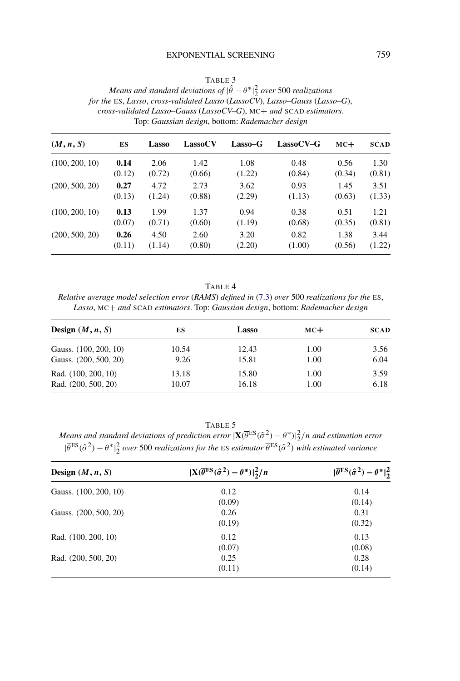<span id="page-28-0"></span>

| TABLE 3                                                                              |
|--------------------------------------------------------------------------------------|
| Means and standard deviations of $ \hat{\theta} - \theta^* $ , over 500 realizations |
| for the ES, Lasso, cross-validated Lasso (LassoCV), Lasso–Gauss (Lasso–G),           |
| cross-validated Lasso–Gauss (LassoCV–G), $MC + and SCAD$ estimators.                 |
| Top: Gaussian design, bottom: Rademacher design                                      |

| (M, n, S)      | ES     | Lasso  | <b>LassoCV</b> | Lasso-G | LassoCV-G | $MC+$  | <b>SCAD</b> |
|----------------|--------|--------|----------------|---------|-----------|--------|-------------|
| (100, 200, 10) | 0.14   | 2.06   | 1.42           | 1.08    | 0.48      | 0.56   | 1.30        |
|                | (0.12) | (0.72) | (0.66)         | (1.22)  | (0.84)    | (0.34) | (0.81)      |
| (200, 500, 20) | 0.27   | 4.72   | 2.73           | 3.62    | 0.93      | 1.45   | 3.51        |
|                | (0.13) | (1.24) | (0.88)         | (2.29)  | (1.13)    | (0.63) | (1.33)      |
| (100, 200, 10) | 0.13   | 1.99   | 1.37           | 0.94    | 0.38      | 0.51   | 1.21        |
|                | (0.07) | (0.71) | (0.60)         | (1.19)  | (0.68)    | (0.35) | (0.81)      |
| (200, 500, 20) | 0.26   | 4.50   | 2.60           | 3.20    | 0.82      | 1.38   | 3.44        |
|                | (0.11) | (1.14) | (0.80)         | (2.20)  | (1.00)    | (0.56) | (1.22)      |

TABLE 4

*Relative average model selection error* (*RAMS*) *defined in* [\(7.3\)](#page-26-0) *over* 500 *realizations for the* ES, *Lasso*, MC+ *and* SCAD *estimators*. Top: *Gaussian design*, bottom: *Rademacher design*

| Design $(M, n, S)$                         | ES             | Lasso          | $MC+$        | <b>SCAD</b>  |
|--------------------------------------------|----------------|----------------|--------------|--------------|
| Gauss. (100, 200, 10)                      | 10.54          | 12.43          | 1.00         | 3.56         |
| Gauss. (200, 500, 20)                      | 9.26           | 15.81          | 1.00         | 6.04         |
| Rad. (100, 200, 10)<br>Rad. (200, 500, 20) | 13.18<br>10.07 | 15.80<br>16.18 | 1.00<br>1.00 | 3.59<br>6.18 |

TABLE 5

*Means and standard deviations of prediction error*  $|\mathbf{X}(\overline{\theta}^{ES}(\hat{\sigma}^2) - \theta^*)|^2_2/n$  *and estimation error* |*θ*ES*(σ*ˆ <sup>2</sup>*)* − *θ*∗| 2 <sup>2</sup> *over* <sup>500</sup> *realizations for the* ES *estimator <sup>θ</sup>*ES*(σ*<sup>ˆ</sup> <sup>2</sup>*) with estimated variance*

| Design $(M, n, S)$    | $ X(\overline{\theta}^{ES}(\hat{\sigma}^2)-\theta^*) ^2_2/n$ | $ \overline{\theta}^{\text{ES}}(\hat{\sigma}^2) - \theta^* _2^2$ |
|-----------------------|--------------------------------------------------------------|------------------------------------------------------------------|
| Gauss. (100, 200, 10) | 0.12                                                         | 0.14                                                             |
|                       | (0.09)                                                       | (0.14)                                                           |
| Gauss. (200, 500, 20) | 0.26                                                         | 0.31                                                             |
|                       | (0.19)                                                       | (0.32)                                                           |
| Rad. (100, 200, 10)   | 0.12                                                         | 0.13                                                             |
|                       | (0.07)                                                       | (0.08)                                                           |
| Rad. (200, 500, 20)   | 0.25                                                         | 0.28                                                             |
|                       | (0.11)                                                       | (0.14)                                                           |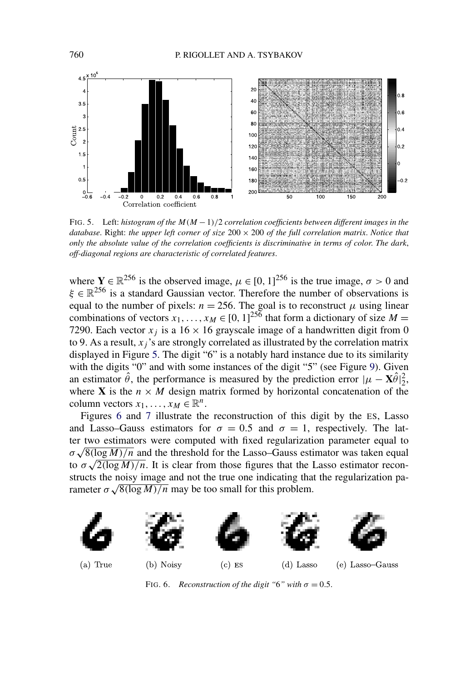<span id="page-29-0"></span>

FIG. 5. Left: *histogram of the M(M* −1*)/*2 *correlation coefficients between different images in the database*. Right: *the upper left corner of size* 200 × 200 *of the full correlation matrix*. *Notice that only the absolute value of the correlation coefficients is discriminative in terms of color*. *The dark*, *off-diagonal regions are characteristic of correlated features*.

where  $Y \in \mathbb{R}^{256}$  is the observed image,  $\mu \in [0, 1]^{256}$  is the true image,  $\sigma > 0$  and *ξ* ∈ R<sup>256</sup> is a standard Gaussian vector. Therefore the number of observations is equal to the number of pixels:  $n = 256$ . The goal is to reconstruct  $\mu$  using linear combinations of vectors  $x_1, \ldots, x_M \in [0, 1]^{256}$  that form a dictionary of size  $M =$ 7290. Each vector  $x_j$  is a 16  $\times$  16 grayscale image of a handwritten digit from 0 to 9. As a result,  $x_i$ 's are strongly correlated as illustrated by the correlation matrix displayed in Figure 5. The digit "6" is a notably hard instance due to its similarity with the digits "0" and with some instances of the digit "5" (see Figure [9\)](#page-31-0). Given an estimator  $\hat{\theta}$ , the performance is measured by the prediction error  $|\mu - \mathbf{X}\hat{\theta}|_2^2$ , where **X** is the  $n \times M$  design matrix formed by horizontal concatenation of the column vectors  $x_1, \ldots, x_M \in \mathbb{R}^n$ .

Figures 6 and [7](#page-30-0) illustrate the reconstruction of this digit by the ES, Lasso and Lasso–Gauss estimators for  $\sigma = 0.5$  and  $\sigma = 1$ , respectively. The latter two estimators were computed with fixed regularization parameter equal to *σ*  $\sqrt{8(\log M)/n}$  and the threshold for the Lasso–Gauss estimator was taken equal to  $\sigma\sqrt{8(\log M)/n}$  and the threshold for the Lasso–Gauss estimator was taken equal  $\sigma \sqrt{\delta(\log M)/n}$  and the threshold for the Lasso-Gauss estimator was taken equal to  $\sigma \sqrt{2(\log M)/n}$ . It is clear from those figures that the Lasso estimator reconstructs the noisy image and not the true one indicating that the regularization pastructs the noisy image and not the true one indicating that<br>rameter  $\sigma \sqrt{8(\log M)/n}$  may be too small for this problem.



FIG. 6. *Reconstruction of the digit* "6" with  $\sigma = 0.5$ .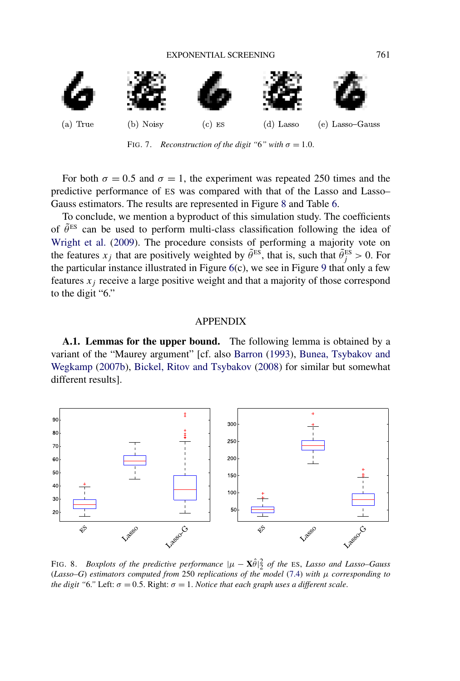<span id="page-30-0"></span>

FIG. 7. *Reconstruction of the digit* "6" with  $\sigma = 1.0$ .

For both  $\sigma = 0.5$  and  $\sigma = 1$ , the experiment was repeated 250 times and the predictive performance of ES was compared with that of the Lasso and Lasso– Gauss estimators. The results are represented in Figure 8 and Table [6.](#page-31-0)

To conclude, we mention a byproduct of this simulation study. The coefficients of  $\tilde{\theta}^{ES}$  can be used to perform multi-class classification following the idea of [Wright et al.](#page-39-0) [\(2009\)](#page-39-0). The procedure consists of performing a majority vote on the features  $x_j$  that are positively weighted by  $\tilde{\theta}^{ES}$ , that is, such that  $\tilde{\theta}^{ES}_j > 0$ . For the particular instance illustrated in Figure  $6(c)$  $6(c)$ , we see in Figure [9](#page-31-0) that only a few features  $x_j$  receive a large positive weight and that a majority of those correspond to the digit "6."

### APPENDIX

**A.1. Lemmas for the upper bound.** The following lemma is obtained by a variant of the "Maurey argument" [cf. also [Barron](#page-38-0) [\(1993\)](#page-38-0), [Bunea, Tsybakov and](#page-38-0) [Wegkamp](#page-38-0) [\(2007b\)](#page-38-0), [Bickel, Ritov and Tsybakov](#page-38-0) [\(2008\)](#page-38-0) for similar but somewhat different results].



FIG. 8. *Boxplots of the predictive performance*  $|\mu - \mathbf{X}\hat{\theta}|_2^2$  *of the* ES, *Lasso and Lasso–Gauss* (*Lasso–G*) *estimators computed from* 250 *replications of the model* [\(7.4\)](#page-27-0) *with μ corresponding to the digit "6."* Left:  $\sigma = 0.5$ . Right:  $\sigma = 1$ . *Notice that each graph uses a different scale.*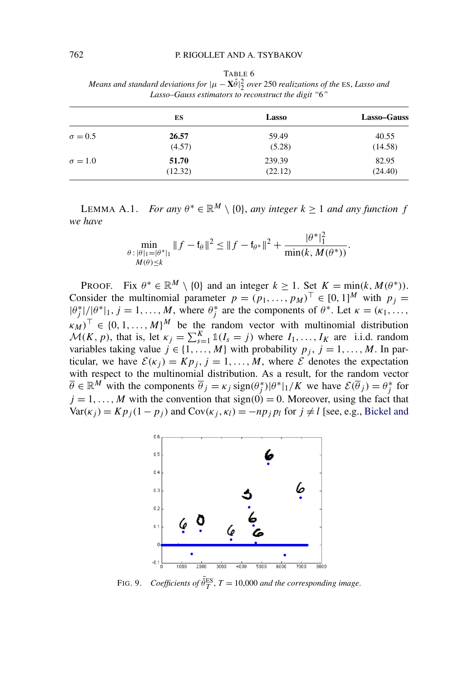|                | ES      | Lasso   | Lasso-Gauss |
|----------------|---------|---------|-------------|
| $\sigma = 0.5$ | 26.57   | 59.49   | 40.55       |
|                | (4.57)  | (5.28)  | (14.58)     |
| $\sigma = 1.0$ | 51.70   | 239.39  | 82.95       |
|                | (12.32) | (22.12) | (24.40)     |

<span id="page-31-0"></span>TABLE 6 *Means and standard deviations for* |*μ* − **X***θ*ˆ| 2 <sup>2</sup> *over* 250 *realizations of the* ES, *Lasso and Lasso–Gauss estimators to reconstruct the digit "*6*"*

LEMMA A.1. *For any*  $\theta^* \in \mathbb{R}^M \setminus \{0\}$ , *any integer*  $k \ge 1$  *and any function*  $f$ *we have*

$$
\min_{\substack{\theta : \|\theta\|_1 = \|\theta^*\|_1 \\ M(\theta) \le k}} \|f - f_{\theta}\|^2 \le \|f - f_{\theta^*}\|^2 + \frac{|\theta^*\|_1^2}{\min(k, M(\theta^*))}.
$$

PROOF. Fix  $\theta^* \in \mathbb{R}^M \setminus \{0\}$  and an integer  $k \ge 1$ . Set  $K = \min(k, M(\theta^*))$ . Consider the multinomial parameter  $p = (p_1, \ldots, p_M)^\top \in [0, 1]^M$  with  $p_j =$  $|\theta_j^*|/|\theta^*|_1, j = 1, \ldots, M$ , where  $\theta_j^*$  are the components of  $\theta^*$ . Let  $\kappa = (\kappa_1, \ldots, \kappa_m)$  $(kM)^{\top} \in \{0, 1, \ldots, M\}^M$  be the random vector with multinomial distribution  $\mathcal{M}(K, p)$ , that is, let  $\kappa_j = \sum_{s=1}^K \mathbb{1}(I_s = j)$  where  $I_1, \ldots, I_K$  are i.i.d. random variables taking value  $j \in \{1, \ldots, M\}$  with probability  $p_j$ ,  $j = 1, \ldots, M$ . In particular, we have  $\mathcal{E}(\kappa_j) = Kp_j$ ,  $j = 1, ..., M$ , where  $\mathcal E$  denotes the expectation with respect to the multinomial distribution. As a result, for the random vector  $\overline{\theta}$  ∈  $\mathbb{R}^M$  with the components  $\overline{\theta}_j = \kappa_j \text{ sign}(\theta_j^*)|\theta^*|_1/K$  we have  $\mathcal{E}(\overline{\theta}_j) = \theta_j^*$  for  $j = 1, \ldots, M$  with the convention that sign(0) = 0. Moreover, using the fact that  $Var(\kappa_i) = Kp_i(1 - p_i)$  and  $Cov(\kappa_i, \kappa_l) = -np_i p_l$  for  $j \neq l$  [see, e.g., [Bickel and](#page-38-0)



FIG. 9. *Coefficients of*  $\tilde{\tilde{\theta}}_T^{\text{ES}}, T = 10,000$  *and the corresponding image.*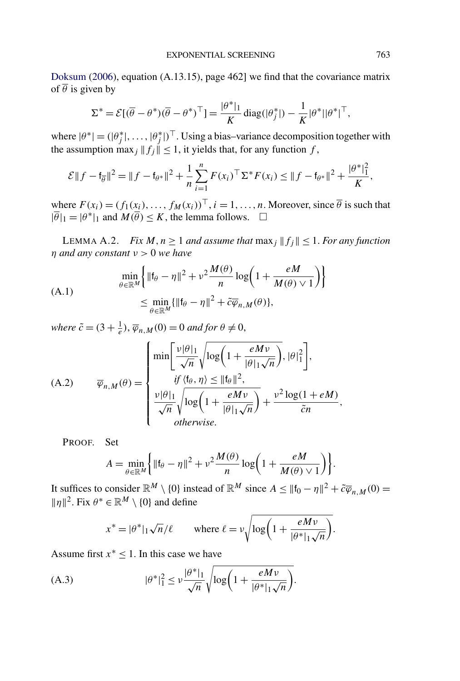<span id="page-32-0"></span>[Doksum](#page-38-0) [\(2006\)](#page-38-0), equation (A.13.15), page 462] we find that the covariance matrix of  $\overline{\theta}$  is given by

$$
\Sigma^* = \mathcal{E}[(\overline{\theta} - \theta^*)(\overline{\theta} - \theta^*)^\top] = \frac{|\theta^*|_1}{K} \operatorname{diag}(|\theta_j^*|) - \frac{1}{K}|\theta^*||\theta^*|^\top,
$$

where  $|\theta^*| = (|\theta_j^*|, \dots, |\theta_j^*|)^\top$ . Using a bias–variance decomposition together with the assumption max<sub>j</sub>  $||f_j|| \leq 1$ , it yields that, for any function f,

$$
\mathcal{E}||f - f_{\overline{\theta}}||^2 = ||f - f_{\theta^*}||^2 + \frac{1}{n}\sum_{i=1}^n F(x_i)^\top \Sigma^* F(x_i) \le ||f - f_{\theta^*}||^2 + \frac{|\theta^*|_1^2}{K},
$$

where  $F(x_i) = (f_1(x_i), \dots, f_M(x_i))^T$ ,  $i = 1, \dots, n$ . Moreover, since  $\overline{\theta}$  is such that  $|\overline{\theta}|_1 = |\theta^*|_1$  and  $M(\overline{\theta}) \le K$ , the lemma follows.  $\square$ 

LEMMA A.2. *Fix*  $M, n \geq 1$  *and assume that*  $\max_j ||f_j|| \leq 1$ *. For any function η and any constant ν >* 0 *we have*

(A.1)  
\n
$$
\min_{\theta \in \mathbb{R}^M} \left\{ \| \mathbf{f}_{\theta} - \eta \|^2 + \nu^2 \frac{M(\theta)}{n} \log \left( 1 + \frac{eM}{M(\theta) \vee 1} \right) \right\}
$$
\n
$$
\leq \min_{\theta \in \mathbb{R}^M} \{ \| \mathbf{f}_{\theta} - \eta \|^2 + \tilde{c} \overline{\varphi}_{n,M}(\theta) \},
$$

*where*  $\tilde{c} = (3 + \frac{1}{e}), \overline{\varphi}_{n,M}(0) = 0$  *and for*  $\theta \neq 0$ ,

(A.2) 
$$
\overline{\varphi}_{n,M}(\theta) = \begin{cases} \min \left[ \frac{\nu |\theta|_1}{\sqrt{n}} \sqrt{\log \left( 1 + \frac{eM\nu}{|\theta|_1 \sqrt{n}} \right)}, |\theta|_1^2 \right], \\ \quad \text{if } \langle f_\theta, \eta \rangle \le ||f_\theta||^2, \\ \frac{\nu |\theta|_1}{\sqrt{n}} \sqrt{\log \left( 1 + \frac{eM\nu}{|\theta|_1 \sqrt{n}} \right)} + \frac{\nu^2 \log(1 + eM)}{\tilde{c}n}, \\ \quad \text{otherwise.} \end{cases}
$$

PROOF. Set

$$
A = \min_{\theta \in \mathbb{R}^M} \left\{ \|\mathbf{f}_{\theta} - \eta\|^2 + \nu^2 \frac{M(\theta)}{n} \log \left( 1 + \frac{eM}{M(\theta) \vee 1} \right) \right\}.
$$

It suffices to consider  $\mathbb{R}^M \setminus \{0\}$  instead of  $\mathbb{R}^M$  since  $A \le ||f_0 - \eta||^2 + \tilde{c}\overline{\varphi}_{n,M}(0) =$  $\|\eta\|^2$ . Fix  $\theta^* \in \mathbb{R}^M \setminus \{0\}$  and define

$$
x^* = |\theta^*|_1 \sqrt{n}/\ell \quad \text{where } \ell = \nu \sqrt{\log\left(1 + \frac{eM\nu}{|\theta^*|_1 \sqrt{n}}\right)}.
$$

Assume first  $x^* \leq 1$ . In this case we have

(A.3) 
$$
|\theta^*|_1^2 \le \nu \frac{|\theta^*|_1}{\sqrt{n}} \sqrt{\log\left(1 + \frac{eM\nu}{|\theta^*|_1\sqrt{n}}\right)}.
$$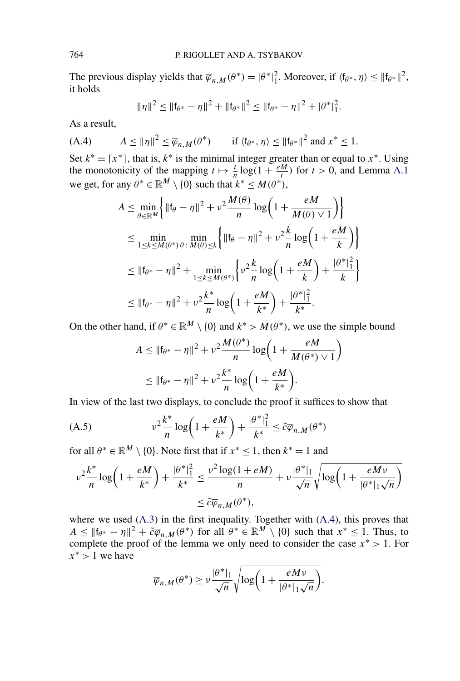The previous display yields that  $\overline{\varphi}_{n,M}(\theta^*) = |\theta^*|^2$ . Moreover, if  $\langle f_{\theta^*}, \eta \rangle \leq ||f_{\theta^*}||^2$ , it holds

$$
\|\eta\|^2 \leq \|f_{\theta^*} - \eta\|^2 + \|f_{\theta^*}\|^2 \leq \|f_{\theta^*} - \eta\|^2 + |\theta^*|^2_1.
$$

As a result,

(A.4) 
$$
A \leq \|\eta\|^2 \leq \overline{\varphi}_{n,M}(\theta^*) \quad \text{if } \langle f_{\theta^*}, \eta \rangle \leq \|f_{\theta^*}\|^2 \text{ and } x^* \leq 1.
$$

Set  $k^* = \lceil x^* \rceil$ , that is,  $k^*$  is the minimal integer greater than or equal to  $x^*$ . Using the monotonicity of the mapping  $t \mapsto \frac{t}{n} \log(1 + \frac{eM}{t})$  for  $t > 0$ , and Lemma [A.1](#page-31-0) we get, for any  $\theta^* \in \mathbb{R}^M \setminus \{0\}$  such that  $k^* \leq M(\theta^*)$ ,

$$
A \leq \min_{\theta \in \mathbb{R}^M} \left\{ \| \mathbf{f}_{\theta} - \eta \|^2 + \nu^2 \frac{M(\theta)}{n} \log \left( 1 + \frac{eM}{M(\theta) \vee 1} \right) \right\}
$$
  
\n
$$
\leq \min_{1 \leq k \leq M(\theta^*)} \min_{\theta \in M(\theta) \leq k} \left\{ \| \mathbf{f}_{\theta} - \eta \|^2 + \nu^2 \frac{k}{n} \log \left( 1 + \frac{eM}{k} \right) \right\}
$$
  
\n
$$
\leq \| \mathbf{f}_{\theta^*} - \eta \|^2 + \min_{1 \leq k \leq M(\theta^*)} \left\{ \nu^2 \frac{k}{n} \log \left( 1 + \frac{eM}{k} \right) + \frac{|\theta^*|^2}{k} \right\}
$$
  
\n
$$
\leq \| \mathbf{f}_{\theta^*} - \eta \|^2 + \nu^2 \frac{k^*}{n} \log \left( 1 + \frac{eM}{k^*} \right) + \frac{|\theta^*|^2}{k^*}.
$$

On the other hand, if  $\theta^* \in \mathbb{R}^M \setminus \{0\}$  and  $k^* > M(\theta^*)$ , we use the simple bound

$$
A \le ||\mathbf{f}_{\theta^*} - \eta||^2 + \nu^2 \frac{M(\theta^*)}{n} \log \left( 1 + \frac{eM}{M(\theta^*) \vee 1} \right)
$$
  
 
$$
\le ||\mathbf{f}_{\theta^*} - \eta||^2 + \nu^2 \frac{k^*}{n} \log \left( 1 + \frac{eM}{k^*} \right).
$$

In view of the last two displays, to conclude the proof it suffices to show that

(A.5) 
$$
v^2 \frac{k^*}{n} \log \left( 1 + \frac{eM}{k^*} \right) + \frac{|\theta^*|_1^2}{k^*} \le \tilde{c} \overline{\varphi}_{n,M}(\theta^*)
$$

for all  $\theta^* \in \mathbb{R}^M \setminus \{0\}$ . Note first that if  $x^* \leq 1$ , then  $k^* = 1$  and

$$
\nu^2 \frac{k^*}{n} \log \left( 1 + \frac{eM}{k^*} \right) + \frac{|\theta^*|_1^2}{k^*} \le \frac{\nu^2 \log(1 + eM)}{n} + \nu \frac{|\theta^*|_1}{\sqrt{n}} \sqrt{\log \left( 1 + \frac{eM\nu}{|\theta^*|_1\sqrt{n}} \right)}
$$

$$
\le \tilde{c}\overline{\varphi}_{n,M}(\theta^*),
$$

where we used [\(A.3\)](#page-32-0) in the first inequality. Together with (A.4), this proves that  $A \le ||f_{\theta^*} - \eta||^2 + \tilde{c}\overline{\varphi}_{n,M}(\theta^*)$  for all  $\theta^* \in \mathbb{R}^M \setminus \{0\}$  such that  $x^* \le 1$ . Thus, to complete the proof of the lemma we only need to consider the case  $x^* > 1$ . For  $x^*$  > 1 we have

$$
\overline{\varphi}_{n,M}(\theta^*) \ge \nu \frac{|\theta^*|_1}{\sqrt{n}} \sqrt{\log\left(1 + \frac{eM\nu}{|\theta^*|_1\sqrt{n}}\right)}.
$$

<span id="page-33-0"></span>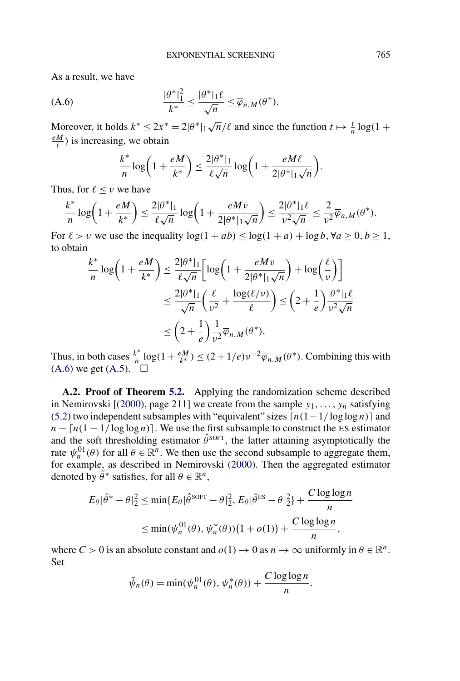As a result, we have

(A.6) 
$$
\frac{|\theta^*|_1^2}{k^*} \le \frac{|\theta^*|_1 \ell}{\sqrt{n}} \le \overline{\varphi}_{n,M}(\theta^*).
$$

Moreover, it holds  $k^* \le 2x^* = 2|\theta^*|_1 \sqrt{n}/\ell$  and since the function  $t \mapsto \frac{t}{n} \log(1 +$  $\frac{eM}{t}$ ) is increasing, we obtain

$$
\frac{k^*}{n}\log\bigg(1+\frac{eM}{k^*}\bigg) \leq \frac{2|\theta^*|_1}{\ell\sqrt{n}}\log\bigg(1+\frac{eM\ell}{2|\theta^*|_1\sqrt{n}}\bigg).
$$

Thus, for  $\ell \leq \nu$  we have

$$
\frac{k^*}{n}\log\left(1+\frac{eM}{k^*}\right)\leq \frac{2|\theta^*|_1}{\ell\sqrt{n}}\log\left(1+\frac{eMv}{2|\theta^*|_1\sqrt{n}}\right)\leq \frac{2|\theta^*|_1\ell}{v^2\sqrt{n}}\leq \frac{2}{v^2}\overline{\varphi}_{n,M}(\theta^*).
$$

For  $\ell > \nu$  we use the inequality  $\log(1 + ab) \leq \log(1 + a) + \log b$ ,  $\forall a \geq 0, b \geq 1$ , to obtain

$$
\frac{k^*}{n}\log\left(1+\frac{eM}{k^*}\right) \le \frac{2|\theta^*|_1}{\ell\sqrt{n}}\left[\log\left(1+\frac{eM\nu}{2|\theta^*|_1\sqrt{n}}\right)+\log\left(\frac{\ell}{\nu}\right)\right]
$$

$$
\le \frac{2|\theta^*|_1}{\sqrt{n}}\left(\frac{\ell}{\nu^2}+\frac{\log(\ell/\nu)}{\ell}\right) \le \left(2+\frac{1}{e}\right)\frac{|\theta^*|_1\ell}{\nu^2\sqrt{n}}
$$

$$
\le \left(2+\frac{1}{e}\right)\frac{1}{\nu^2}\overline{\varphi}_{n,M}(\theta^*).
$$

Thus, in both cases  $\frac{k^*}{n} \log(1 + \frac{eM}{k^*}) \le (2 + 1/e)v^{-2} \overline{\varphi}_{n,M}(\theta^*)$ . Combining this with  $(A.6)$  we get  $(A.5)$ .  $\Box$ 

**A.2. Proof of Theorem [5.2.](#page-12-0)** Applying the randomization scheme described in Nemirovski  $[(2000)$  $[(2000)$ , page 211] we create from the sample  $y_1, \ldots, y_n$  satisfying [\(5.2\)](#page-10-0) two independent subsamples with "equivalent" sizes *n(*1−1*/* log log *n)* and  $n - \lceil n(1 - 1/\log \log n) \rceil$ . We use the first subsample to construct the ES estimator and the soft thresholding estimator  $\hat{\theta}^{\text{SOFT}}$ , the latter attaining asymptotically the rate  $\psi_n^{01}(\theta)$  for all  $\theta \in \mathbb{R}^n$ . We then use the second subsample to aggregate them, for example, as described in Nemirovski [\(2000\)](#page-39-0). Then the aggregated estimator denoted by  $\tilde{\theta}^*$  satisfies, for all  $\theta \in \mathbb{R}^n$ ,

$$
E_{\theta}|\tilde{\theta}^* - \theta|_2^2 \le \min\{E_{\theta}|\hat{\theta}^{\text{SOFT}} - \theta|_2^2, E_{\theta}|\tilde{\theta}^{\text{ES}} - \theta|_2^2\} + \frac{C\log\log n}{n}
$$
  

$$
\le \min(\psi_n^{01}(\theta), \psi_n^*(\theta))(1 + o(1)) + \frac{C\log\log n}{n},
$$

where  $C > 0$  is an absolute constant and  $o(1) \to 0$  as  $n \to \infty$  uniformly in  $\theta \in \mathbb{R}^n$ . Set

$$
\tilde{\psi}_n(\theta) = \min(\psi_n^{01}(\theta), \psi_n^*(\theta)) + \frac{C \log \log n}{n}.
$$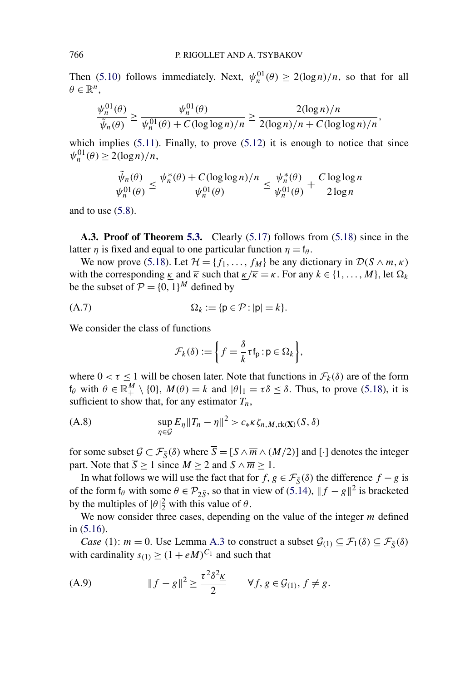<span id="page-35-0"></span>Then [\(5.10\)](#page-12-0) follows immediately. Next,  $\psi_n^{01}(\theta) \ge 2(\log n)/n$ , so that for all  $\theta \in \mathbb{R}^n$ ,

$$
\frac{\psi_n^{01}(\theta)}{\tilde{\psi}_n(\theta)} \ge \frac{\psi_n^{01}(\theta)}{\psi_n^{01}(\theta) + C(\log \log n)/n} \ge \frac{2(\log n)/n}{2(\log n)/n + C(\log \log n)/n},
$$

which implies  $(5.11)$ . Finally, to prove  $(5.12)$  it is enough to notice that since  $\psi_n^{01}(\theta) \geq 2(\log n)/n$ ,

$$
\frac{\tilde{\psi}_n(\theta)}{\psi_n^{01}(\theta)} \le \frac{\psi_n^*(\theta) + C(\log \log n)/n}{\psi_n^{01}(\theta)} \le \frac{\psi_n^*(\theta)}{\psi_n^{01}(\theta)} + \frac{C \log \log n}{2 \log n}
$$

and to use [\(5.8\)](#page-11-0).

**A.3. Proof of Theorem [5.3.](#page-14-0)** Clearly [\(5.17\)](#page-14-0) follows from [\(5.18\)](#page-14-0) since in the latter *η* is fixed and equal to one particular function  $\eta = \mathfrak{f}_{\theta}$ .

We now prove [\(5.18\)](#page-14-0). Let  $\mathcal{H} = \{f_1, \ldots, f_M\}$  be any dictionary in  $\mathcal{D}(S \wedge \overline{m}, \kappa)$ with the corresponding  $\underline{\kappa}$  and  $\overline{\kappa}$  such that  $\underline{\kappa}/\overline{\kappa} = \kappa$ . For any  $k \in \{1, ..., M\}$ , let  $\Omega_k$ be the subset of  $P = \{0, 1\}^M$  defined by

$$
\Omega_k := \{ \mathsf{p} \in \mathcal{P} : |\mathsf{p}| = k \}.
$$

We consider the class of functions

$$
\mathcal{F}_k(\delta) := \left\{ f = \frac{\delta}{k} \tau f_p : p \in \Omega_k \right\},\
$$

where  $0 < \tau \le 1$  will be chosen later. Note that functions in  $\mathcal{F}_k(\delta)$  are of the form  $f_{\theta}$  with  $\theta \in \mathbb{R}^M_+ \setminus \{0\}$ ,  $M(\theta) = k$  and  $|\theta|_1 = \tau \delta \leq \delta$ . Thus, to prove [\(5.18\)](#page-14-0), it is sufficient to show that, for any estimator  $T_n$ ,

(A.8) 
$$
\sup_{\eta \in \mathcal{G}} E_{\eta} ||T_n - \eta||^2 > c_* \kappa \zeta_{n,M,\text{rk}}(\mathbf{X})(S,\delta)
$$

for some subset  $G \subset \mathcal{F}_{\bar{S}}(\delta)$  where  $\overline{S} = [S \wedge \overline{m} \wedge (M/2)]$  and [·] denotes the integer part. Note that  $\overline{S} \ge 1$  since  $M \ge 2$  and  $S \wedge \overline{m} \ge 1$ .

In what follows we will use the fact that for  $f, g \in \mathcal{F}_{\bar{S}}(\delta)$  the difference  $f - g$  is of the form  $f_\theta$  with some  $\theta \in \mathcal{P}_{2\bar{S}}$ , so that in view of [\(5.14\)](#page-14-0),  $||f - g||^2$  is bracketed by the multiples of  $|\theta|^2$  with this value of  $\theta$ .

We now consider three cases, depending on the value of the integer *m* defined in [\(5.16\)](#page-14-0).

*Case* (1): *m* = 0. Use Lemma [A.3](#page-37-0) to construct a subset  $\mathcal{G}_{(1)} \subseteq \mathcal{F}_1(\delta) \subseteq \mathcal{F}_{\overline{S}}(\delta)$ with cardinality  $s_{(1)} \ge (1 + eM)^{C_1}$  and such that

(A.9) 
$$
||f - g||^2 \ge \frac{\tau^2 \delta^2 \underline{\kappa}}{2} \quad \forall f, g \in \mathcal{G}_{(1)}, f \ne g.
$$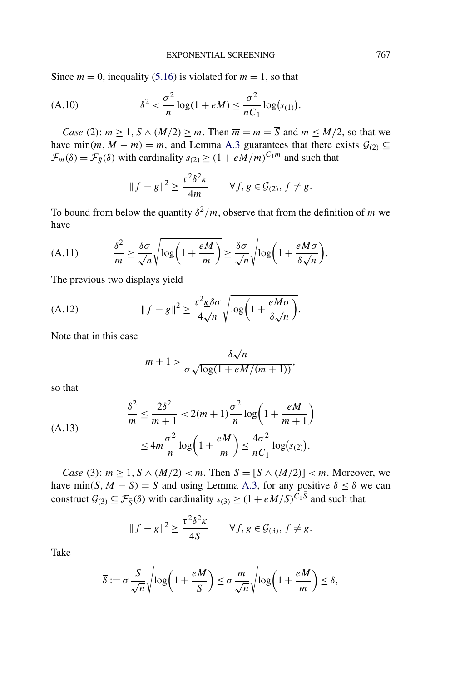<span id="page-36-0"></span>Since  $m = 0$ , inequality [\(5.16\)](#page-14-0) is violated for  $m = 1$ , so that

(A.10) 
$$
\delta^2 < \frac{\sigma^2}{n} \log(1 + eM) \le \frac{\sigma^2}{nC_1} \log(s_{(1)}).
$$

*Case* (2):  $m \ge 1$ ,  $S \wedge (M/2) \ge m$ . Then  $\overline{m} = m = \overline{S}$  and  $m \le M/2$ , so that we have min $(m, M - m) = m$ , and Lemma [A.3](#page-37-0) guarantees that there exists  $G_{(2)} \subseteq$  $\mathcal{F}_m(\delta) = \mathcal{F}_{\bar{S}}(\delta)$  with cardinality  $s_{(2)} \ge (1 + eM/m)^{C_1 m}$  and such that

$$
||f - g||^2 \ge \frac{\tau^2 \delta^2 \underline{\kappa}}{4m} \qquad \forall f, g \in \mathcal{G}_{(2)}, f \ne g.
$$

To bound from below the quantity  $\delta^2/m$ , observe that from the definition of *m* we have

(A.11) 
$$
\frac{\delta^2}{m} \ge \frac{\delta \sigma}{\sqrt{n}} \sqrt{\log\left(1 + \frac{eM}{m}\right)} \ge \frac{\delta \sigma}{\sqrt{n}} \sqrt{\log\left(1 + \frac{eM\sigma}{\delta\sqrt{n}}\right)}.
$$

The previous two displays yield

(A.12) 
$$
||f - g||^2 \ge \frac{\tau^2 \kappa \delta \sigma}{4\sqrt{n}} \sqrt{\log\left(1 + \frac{eM\sigma}{\delta\sqrt{n}}\right)}.
$$

Note that in this case

$$
m+1 > \frac{\delta\sqrt{n}}{\sigma\sqrt{\log(1+eM/(m+1))}},
$$

so that

(A.13)  

$$
\frac{\delta^2}{m} \le \frac{2\delta^2}{m+1} < 2(m+1)\frac{\sigma^2}{n}\log\left(1 + \frac{eM}{m+1}\right)
$$

$$
\le 4m\frac{\sigma^2}{n}\log\left(1 + \frac{eM}{m}\right) \le \frac{4\sigma^2}{nC_1}\log(s_{(2)}).
$$

*Case* (3):  $m \geq 1$ ,  $S \wedge (M/2) < m$ . Then  $\overline{S} = [S \wedge (M/2)] < m$ . Moreover, we have min $(\overline{S}, M - \overline{S}) = \overline{S}$  and using Lemma [A.3,](#page-37-0) for any positive  $\overline{\delta} \le \delta$  we can construct  $\mathcal{G}_{(3)} \subseteq \mathcal{F}_{\bar{S}}(\bar{\delta})$  with cardinality  $s_{(3)} \geq (1 + eM/\bar{S})^{C_1\bar{S}}$  and such that

$$
||f - g||^2 \ge \frac{\tau^2 \overline{\delta^2 \underline{\kappa}}}{4\overline{S}} \qquad \forall f, g \in \mathcal{G}_{(3)}, f \ne g.
$$

Take

$$
\overline{\delta} := \sigma \frac{\overline{S}}{\sqrt{n}} \sqrt{\log \left(1 + \frac{eM}{\overline{S}}\right)} \le \sigma \frac{m}{\sqrt{n}} \sqrt{\log \left(1 + \frac{eM}{m}\right)} \le \delta,
$$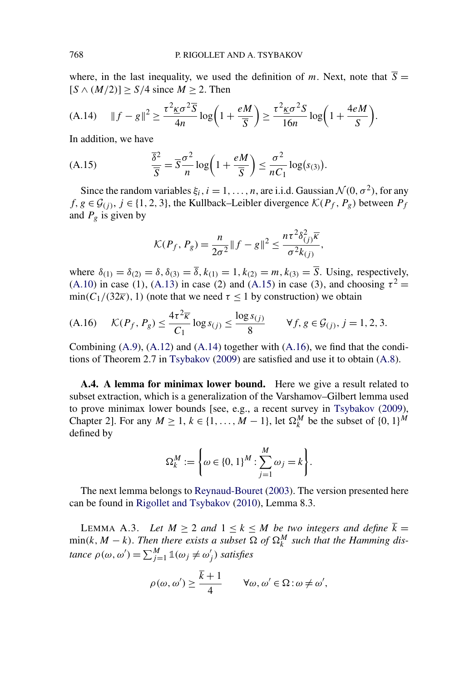<span id="page-37-0"></span>where, in the last inequality, we used the definition of *m*. Next, note that  $\overline{S}$  =  $[S \wedge (M/2)] \ge S/4$  since  $M \ge 2$ . Then

(A.14) 
$$
||f - g||^2 \ge \frac{\tau^2 \kappa \sigma^2 \overline{S}}{4n} \log \left( 1 + \frac{eM}{\overline{S}} \right) \ge \frac{\tau^2 \kappa \sigma^2 S}{16n} \log \left( 1 + \frac{4eM}{S} \right).
$$

In addition, we have

(A.15) 
$$
\frac{\overline{\delta}^2}{\overline{S}} = \overline{S} \frac{\sigma^2}{n} \log \left( 1 + \frac{eM}{\overline{S}} \right) \le \frac{\sigma^2}{nC_1} \log(s_{(3)}).
$$

Since the random variables  $\xi_i$ ,  $i = 1, \ldots, n$ , are i.i.d. Gaussian  $\mathcal{N}(0, \sigma^2)$ , for any  $f, g \in \mathcal{G}(j), j \in \{1, 2, 3\}$ , the Kullback–Leibler divergence  $\mathcal{K}(P_f, P_g)$  between  $P_f$ and  $P_g$  is given by

$$
\mathcal{K}(P_f, P_g) = \frac{n}{2\sigma^2} \|f - g\|^2 \le \frac{n\tau^2 \delta_{(j)}^2 \overline{\kappa}}{\sigma^2 k_{(j)}},
$$

where  $\delta_{(1)} = \delta_{(2)} = \delta$ ,  $\delta_{(3)} = \overline{\delta}$ ,  $k_{(1)} = 1$ ,  $k_{(2)} = m$ ,  $k_{(3)} = \overline{S}$ . Using, respectively,  $(A.10)$  in case (1),  $(A.13)$  in case (2) and  $(A.15)$  in case (3), and choosing  $\tau^2 =$  $\min(C_1/(32\overline{k}), 1)$  (note that we need  $\tau < 1$  by construction) we obtain

(A.16) 
$$
\mathcal{K}(P_f, P_g) \le \frac{4\tau^2 \overline{\kappa}}{C_1} \log s_{(j)} \le \frac{\log s_{(j)}}{8} \quad \forall f, g \in \mathcal{G}_{(j)}, j = 1, 2, 3.
$$

Combining [\(A.9\)](#page-35-0), [\(A.12\)](#page-36-0) and (A.14) together with (A.16), we find that the conditions of Theorem 2.7 in [Tsybakov](#page-39-0) [\(2009\)](#page-39-0) are satisfied and use it to obtain [\(A.8\)](#page-35-0).

**A.4. A lemma for minimax lower bound.** Here we give a result related to subset extraction, which is a generalization of the Varshamov–Gilbert lemma used to prove minimax lower bounds [see, e.g., a recent survey in [Tsybakov](#page-39-0) [\(2009\)](#page-39-0), Chapter 2]. For any  $M \ge 1$ ,  $k \in \{1, ..., M - 1\}$ , let  $\Omega_k^M$  be the subset of  $\{0, 1\}^M$ defined by

$$
\Omega_k^M:=\left\{\omega\in\{0,1\}^M: \sum_{j=1}^M \omega_j=k\right\}.
$$

The next lemma belongs to [Reynaud-Bouret](#page-39-0) [\(2003\)](#page-39-0). The version presented here can be found in [Rigollet and Tsybakov](#page-39-0) [\(2010\)](#page-39-0), Lemma 8.3.

LEMMA A.3. Let  $M \ge 2$  and  $1 \le k \le M$  be two integers and define  $\overline{k} =$  $\min(k, M - k)$ . Then there exists a subset  $\Omega$  of  $\Omega_k^M$  such that the Hamming dis*tance*  $\rho(\omega, \omega') = \sum_{j=1}^{M} \mathbb{1}(\omega_j \neq \omega'_j)$  *satisfies* 

$$
\rho(\omega, \omega') \geq \frac{\overline{k}+1}{4} \qquad \forall \omega, \omega' \in \Omega : \omega \neq \omega',
$$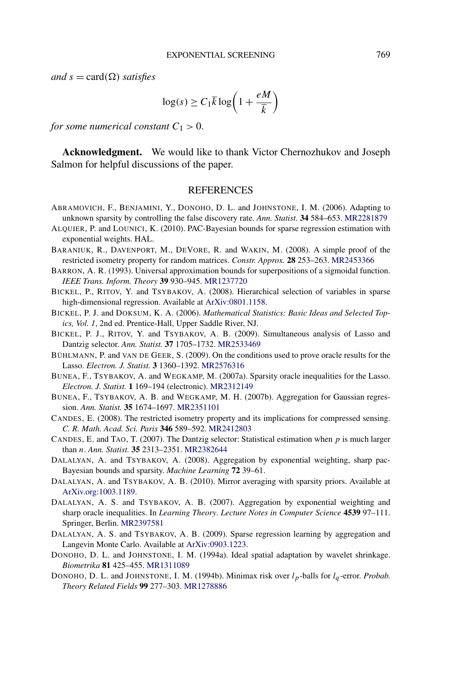<span id="page-38-0"></span>*and*  $s = \text{card}(\Omega)$  *satisfies* 

$$
\log(s) \ge C_1 \overline{k} \log\left(1 + \frac{eM}{\overline{k}}\right)
$$

*for some numerical constant*  $C_1 > 0$ .

**Acknowledgment.** We would like to thank Victor Chernozhukov and Joseph Salmon for helpful discussions of the paper.

### REFERENCES

- ABRAMOVICH, F., BENJAMINI, Y., DONOHO, D. L. and JOHNSTONE, I. M. (2006). Adapting to unknown sparsity by controlling the false discovery rate. *Ann. Statist.* **34** 584–653. [MR2281879](http://www.ams.org/mathscinet-getitem?mr=2281879)
- ALQUIER, P. and LOUNICI, K. (2010). PAC-Bayesian bounds for sparse regression estimation with exponential weights. HAL.
- BARANIUK, R., DAVENPORT, M., DEVORE, R. and WAKIN, M. (2008). A simple proof of the restricted isometry property for random matrices. *Constr. Approx.* **28** 253–263. [MR2453366](http://www.ams.org/mathscinet-getitem?mr=2453366)
- BARRON, A. R. (1993). Universal approximation bounds for superpositions of a sigmoidal function. *IEEE Trans. Inform. Theory* **39** 930–945. [MR1237720](http://www.ams.org/mathscinet-getitem?mr=1237720)
- BICKEL, P., RITOV, Y. and TSYBAKOV, A. (2008). Hierarchical selection of variables in sparse high-dimensional regression. Available at [ArXiv:0801.1158](http://arxiv.org/abs/ArXiv:0801.1158).
- BICKEL, P. J. and DOKSUM, K. A. (2006). *Mathematical Statistics: Basic Ideas and Selected Topics, Vol. 1*, 2nd ed. Prentice-Hall, Upper Saddle River, NJ.
- BICKEL, P. J., RITOV, Y. and TSYBAKOV, A. B. (2009). Simultaneous analysis of Lasso and Dantzig selector. *Ann. Statist.* **37** 1705–1732. [MR2533469](http://www.ams.org/mathscinet-getitem?mr=2533469)

BÜHLMANN, P. and VAN DE GEER, S. (2009). On the conditions used to prove oracle results for the Lasso. *Electron. J. Statist.* **3** 1360–1392. [MR2576316](http://www.ams.org/mathscinet-getitem?mr=2576316)

BUNEA, F., TSYBAKOV, A. and WEGKAMP, M. (2007a). Sparsity oracle inequalities for the Lasso. *Electron. J. Statist.* **1** 169–194 (electronic). [MR2312149](http://www.ams.org/mathscinet-getitem?mr=2312149)

- BUNEA, F., TSYBAKOV, A. B. and WEGKAMP, M. H. (2007b). Aggregation for Gaussian regression. *Ann. Statist.* **35** 1674–1697. [MR2351101](http://www.ams.org/mathscinet-getitem?mr=2351101)
- CANDES, E. (2008). The restricted isometry property and its implications for compressed sensing. *C. R. Math. Acad. Sci. Paris* **346** 589–592. [MR2412803](http://www.ams.org/mathscinet-getitem?mr=2412803)
- CANDES, E. and TAO, T. (2007). The Dantzig selector: Statistical estimation when *p* is much larger than *n*. *Ann. Statist.* **35** 2313–2351. [MR2382644](http://www.ams.org/mathscinet-getitem?mr=2382644)
- DALALYAN, A. and TSYBAKOV, A. (2008). Aggregation by exponential weighting, sharp pac-Bayesian bounds and sparsity. *Machine Learning* **72** 39–61.
- DALALYAN, A. and TSYBAKOV, A. B. (2010). Mirror averaging with sparsity priors. Available at [ArXiv.org:1003.1189.](http://arxiv.org/abs/1003.1189)
- DALALYAN, A. S. and TSYBAKOV, A. B. (2007). Aggregation by exponential weighting and sharp oracle inequalities. In *Learning Theory*. *Lecture Notes in Computer Science* **4539** 97–111. Springer, Berlin. [MR2397581](http://www.ams.org/mathscinet-getitem?mr=2397581)
- DALALYAN, A. S. and TSYBAKOV, A. B. (2009). Sparse regression learning by aggregation and Langevin Monte Carlo. Available at [ArXiv:0903.1223](http://arxiv.org/abs/0903.1223).
- DONOHO, D. L. and JOHNSTONE, I. M. (1994a). Ideal spatial adaptation by wavelet shrinkage. *Biometrika* **81** 425–455. [MR1311089](http://www.ams.org/mathscinet-getitem?mr=1311089)
- DONOHO, D. L. and JOHNSTONE, I. M. (1994b). Minimax risk over *lp*-balls for *lq* -error. *Probab. Theory Related Fields* **99** 277–303. [MR1278886](http://www.ams.org/mathscinet-getitem?mr=1278886)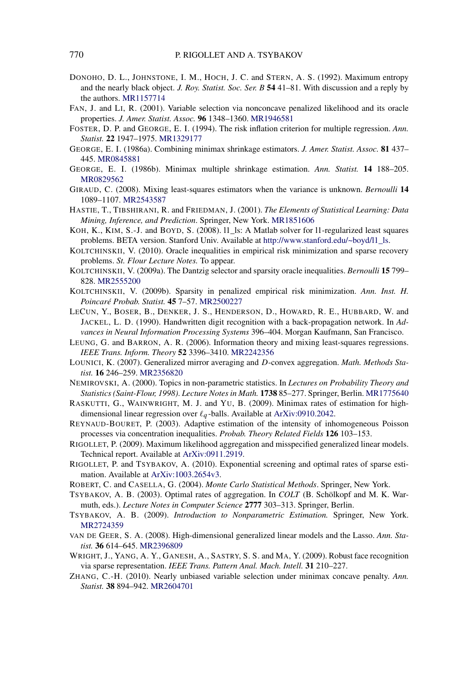- <span id="page-39-0"></span>DONOHO, D. L., JOHNSTONE, I. M., HOCH, J. C. and STERN, A. S. (1992). Maximum entropy and the nearly black object. *J. Roy. Statist. Soc. Ser. B* **54** 41–81. With discussion and a reply by the authors. [MR1157714](http://www.ams.org/mathscinet-getitem?mr=1157714)
- FAN, J. and LI, R. (2001). Variable selection via nonconcave penalized likelihood and its oracle properties. *J. Amer. Statist. Assoc.* **96** 1348–1360. [MR1946581](http://www.ams.org/mathscinet-getitem?mr=1946581)
- FOSTER, D. P. and GEORGE, E. I. (1994). The risk inflation criterion for multiple regression. *Ann. Statist.* **22** 1947–1975. [MR1329177](http://www.ams.org/mathscinet-getitem?mr=1329177)
- GEORGE, E. I. (1986a). Combining minimax shrinkage estimators. *J. Amer. Statist. Assoc.* **81** 437– 445. [MR0845881](http://www.ams.org/mathscinet-getitem?mr=0845881)
- GEORGE, E. I. (1986b). Minimax multiple shrinkage estimation. *Ann. Statist.* **14** 188–205. [MR0829562](http://www.ams.org/mathscinet-getitem?mr=0829562)
- GIRAUD, C. (2008). Mixing least-squares estimators when the variance is unknown. *Bernoulli* **14** 1089–1107. [MR2543587](http://www.ams.org/mathscinet-getitem?mr=2543587)
- HASTIE, T., TIBSHIRANI, R. and FRIEDMAN, J. (2001). *The Elements of Statistical Learning: Data Mining, Inference, and Prediction*. Springer, New York. [MR1851606](http://www.ams.org/mathscinet-getitem?mr=1851606)
- KOH, K., KIM, S.-J. and BOYD, S. (2008). l1\_ls: A Matlab solver for l1-regularized least squares problems. BETA version. Stanford Univ. Available at [http://www.stanford.edu/~boyd/l1\\_ls.](http://www.stanford.edu/~boyd/l1_ls)
- KOLTCHINSKII, V. (2010). Oracle inequalities in empirical risk minimization and sparse recovery problems. *St. Flour Lecture Notes.* To appear.
- KOLTCHINSKII, V. (2009a). The Dantzig selector and sparsity oracle inequalities. *Bernoulli* **15** 799– 828. [MR2555200](http://www.ams.org/mathscinet-getitem?mr=2555200)
- KOLTCHINSKII, V. (2009b). Sparsity in penalized empirical risk minimization. *Ann. Inst. H. Poincaré Probab. Statist.* **45** 7–57. [MR2500227](http://www.ams.org/mathscinet-getitem?mr=2500227)
- LECUN, Y., BOSER, B., DENKER, J. S., HENDERSON, D., HOWARD, R. E., HUBBARD, W. and JACKEL, L. D. (1990). Handwritten digit recognition with a back-propagation network. In *Advances in Neural Information Processing Systems* 396–404. Morgan Kaufmann, San Francisco.
- LEUNG, G. and BARRON, A. R. (2006). Information theory and mixing least-squares regressions. *IEEE Trans. Inform. Theory* **52** 3396–3410. [MR2242356](http://www.ams.org/mathscinet-getitem?mr=2242356)
- LOUNICI, K. (2007). Generalized mirror averaging and *D*-convex aggregation. *Math. Methods Statist.* **16** 246–259. [MR2356820](http://www.ams.org/mathscinet-getitem?mr=2356820)
- NEMIROVSKI, A. (2000). Topics in non-parametric statistics. In *Lectures on Probability Theory and Statistics (Saint-Flour, 1998)*. *Lecture Notes in Math.* **1738** 85–277. Springer, Berlin. [MR1775640](http://www.ams.org/mathscinet-getitem?mr=1775640)
- RASKUTTI, G., WAINWRIGHT, M. J. and YU, B. (2009). Minimax rates of estimation for highdimensional linear regression over  $\ell_q$ -balls. Available at [ArXiv:0910.2042.](http://arxiv.org/abs/ArXiv:0910.2042)
- REYNAUD-BOURET, P. (2003). Adaptive estimation of the intensity of inhomogeneous Poisson processes via concentration inequalities. *Probab. Theory Related Fields* **126** 103–153.
- RIGOLLET, P. (2009). Maximum likelihood aggregation and misspecified generalized linear models. Technical report. Available at [ArXiv:0911.2919](http://arxiv.org/abs/ArXiv:0911.2919).
- RIGOLLET, P. and TSYBAKOV, A. (2010). Exponential screening and optimal rates of sparse estimation. Available at [ArXiv:1003.2654v3.](http://arxiv.org/abs/ArXiv:1003.2654v3)
- ROBERT, C. and CASELLA, G. (2004). *Monte Carlo Statistical Methods*. Springer, New York.
- TSYBAKOV, A. B. (2003). Optimal rates of aggregation. In *COLT* (B. Schölkopf and M. K. Warmuth, eds.). *Lecture Notes in Computer Science* **2777** 303–313. Springer, Berlin.
- TSYBAKOV, A. B. (2009). *Introduction to Nonparametric Estimation.* Springer, New York. [MR2724359](http://www.ams.org/mathscinet-getitem?mr=2724359)
- VAN DE GEER, S. A. (2008). High-dimensional generalized linear models and the Lasso. *Ann. Statist.* **36** 614–645. [MR2396809](http://www.ams.org/mathscinet-getitem?mr=2396809)
- WRIGHT, J., YANG, A. Y., GANESH, A., SASTRY, S. S. and MA, Y. (2009). Robust face recognition via sparse representation. *IEEE Trans. Pattern Anal. Mach. Intell.* **31** 210–227.
- ZHANG, C.-H. (2010). Nearly unbiased variable selection under minimax concave penalty. *Ann. Statist.* **38** 894–942. [MR2604701](http://www.ams.org/mathscinet-getitem?mr=2604701)